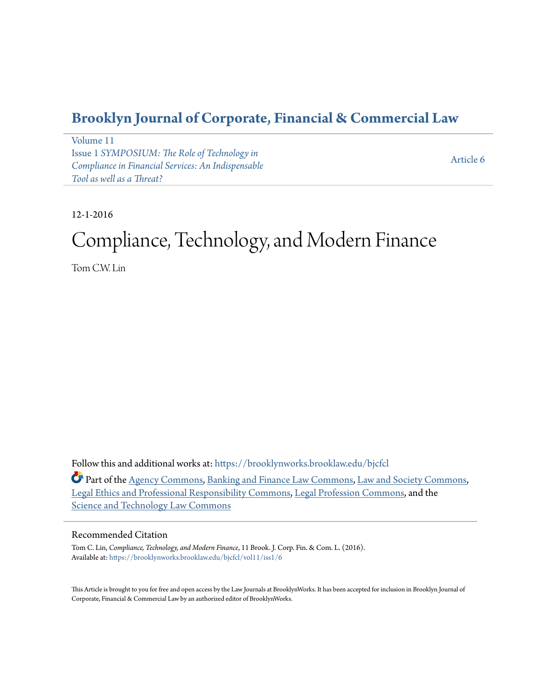# **[Brooklyn Journal of Corporate, Financial & Commercial Law](https://brooklynworks.brooklaw.edu/bjcfcl?utm_source=brooklynworks.brooklaw.edu%2Fbjcfcl%2Fvol11%2Fiss1%2F6&utm_medium=PDF&utm_campaign=PDFCoverPages)**

[Volume 11](https://brooklynworks.brooklaw.edu/bjcfcl/vol11?utm_source=brooklynworks.brooklaw.edu%2Fbjcfcl%2Fvol11%2Fiss1%2F6&utm_medium=PDF&utm_campaign=PDFCoverPages) Issue 1 *[SYMPOSIUM: The Role of Technology in](https://brooklynworks.brooklaw.edu/bjcfcl/vol11/iss1?utm_source=brooklynworks.brooklaw.edu%2Fbjcfcl%2Fvol11%2Fiss1%2F6&utm_medium=PDF&utm_campaign=PDFCoverPages) [Compliance in Financial Services: An Indispensable](https://brooklynworks.brooklaw.edu/bjcfcl/vol11/iss1?utm_source=brooklynworks.brooklaw.edu%2Fbjcfcl%2Fvol11%2Fiss1%2F6&utm_medium=PDF&utm_campaign=PDFCoverPages) [Tool as well as a Threat?](https://brooklynworks.brooklaw.edu/bjcfcl/vol11/iss1?utm_source=brooklynworks.brooklaw.edu%2Fbjcfcl%2Fvol11%2Fiss1%2F6&utm_medium=PDF&utm_campaign=PDFCoverPages)*

[Article 6](https://brooklynworks.brooklaw.edu/bjcfcl/vol11/iss1/6?utm_source=brooklynworks.brooklaw.edu%2Fbjcfcl%2Fvol11%2Fiss1%2F6&utm_medium=PDF&utm_campaign=PDFCoverPages)

12-1-2016

# Compliance, Technology, and Modern Finance

Tom C.W. Lin

Follow this and additional works at: [https://brooklynworks.brooklaw.edu/bjcfcl](https://brooklynworks.brooklaw.edu/bjcfcl?utm_source=brooklynworks.brooklaw.edu%2Fbjcfcl%2Fvol11%2Fiss1%2F6&utm_medium=PDF&utm_campaign=PDFCoverPages)

Part of the [Agency Commons,](http://network.bepress.com/hgg/discipline/829?utm_source=brooklynworks.brooklaw.edu%2Fbjcfcl%2Fvol11%2Fiss1%2F6&utm_medium=PDF&utm_campaign=PDFCoverPages) [Banking and Finance Law Commons,](http://network.bepress.com/hgg/discipline/833?utm_source=brooklynworks.brooklaw.edu%2Fbjcfcl%2Fvol11%2Fiss1%2F6&utm_medium=PDF&utm_campaign=PDFCoverPages) [Law and Society Commons](http://network.bepress.com/hgg/discipline/853?utm_source=brooklynworks.brooklaw.edu%2Fbjcfcl%2Fvol11%2Fiss1%2F6&utm_medium=PDF&utm_campaign=PDFCoverPages), [Legal Ethics and Professional Responsibility Commons,](http://network.bepress.com/hgg/discipline/895?utm_source=brooklynworks.brooklaw.edu%2Fbjcfcl%2Fvol11%2Fiss1%2F6&utm_medium=PDF&utm_campaign=PDFCoverPages) [Legal Profession Commons,](http://network.bepress.com/hgg/discipline/1075?utm_source=brooklynworks.brooklaw.edu%2Fbjcfcl%2Fvol11%2Fiss1%2F6&utm_medium=PDF&utm_campaign=PDFCoverPages) and the [Science and Technology Law Commons](http://network.bepress.com/hgg/discipline/875?utm_source=brooklynworks.brooklaw.edu%2Fbjcfcl%2Fvol11%2Fiss1%2F6&utm_medium=PDF&utm_campaign=PDFCoverPages)

# Recommended Citation

Tom C. Lin, *Compliance, Technology, and Modern Finance*, 11 Brook. J. Corp. Fin. & Com. L. (2016). Available at: [https://brooklynworks.brooklaw.edu/bjcfcl/vol11/iss1/6](https://brooklynworks.brooklaw.edu/bjcfcl/vol11/iss1/6?utm_source=brooklynworks.brooklaw.edu%2Fbjcfcl%2Fvol11%2Fiss1%2F6&utm_medium=PDF&utm_campaign=PDFCoverPages)

This Article is brought to you for free and open access by the Law Journals at BrooklynWorks. It has been accepted for inclusion in Brooklyn Journal of Corporate, Financial & Commercial Law by an authorized editor of BrooklynWorks.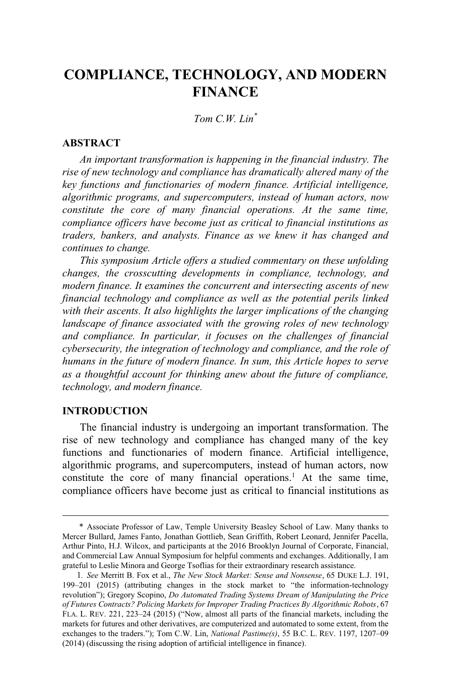# **COMPLIANCE, TECHNOLOGY, AND MODERN FINANCE**

*Tom C.W. Lin\**

## **ABSTRACT**

*An important transformation is happening in the financial industry. The rise of new technology and compliance has dramatically altered many of the key functions and functionaries of modern finance. Artificial intelligence, algorithmic programs, and supercomputers, instead of human actors, now constitute the core of many financial operations. At the same time, compliance officers have become just as critical to financial institutions as traders, bankers, and analysts. Finance as we knew it has changed and continues to change.*

*This symposium Article offers a studied commentary on these unfolding changes, the crosscutting developments in compliance, technology, and modern finance. It examines the concurrent and intersecting ascents of new financial technology and compliance as well as the potential perils linked with their ascents. It also highlights the larger implications of the changing landscape of finance associated with the growing roles of new technology and compliance. In particular, it focuses on the challenges of financial cybersecurity, the integration of technology and compliance, and the role of humans in the future of modern finance. In sum, this Article hopes to serve as a thoughtful account for thinking anew about the future of compliance, technology, and modern finance.*

#### **INTRODUCTION**

The financial industry is undergoing an important transformation. The rise of new technology and compliance has changed many of the key functions and functionaries of modern finance. Artificial intelligence, algorithmic programs, and supercomputers, instead of human actors, now constitute the core of many financial operations.<sup>1</sup> At the same time, compliance officers have become just as critical to financial institutions as

<sup>\*</sup> Associate Professor of Law, Temple University Beasley School of Law. Many thanks to Mercer Bullard, James Fanto, Jonathan Gottlieb, Sean Griffith, Robert Leonard, Jennifer Pacella, Arthur Pinto, H.J. Wilcox, and participants at the 2016 Brooklyn Journal of Corporate, Financial, and Commercial Law Annual Symposium for helpful comments and exchanges. Additionally, I am grateful to Leslie Minora and George Tsoflias for their extraordinary research assistance.

<sup>1</sup>*. See* Merritt B. Fox et al., *The New Stock Market: Sense and Nonsense*, 65 DUKE L.J. 191, 199–201 (2015) (attributing changes in the stock market to "the information-technology revolution"); Gregory Scopino, *Do Automated Trading Systems Dream of Manipulating the Price of Futures Contracts? Policing Markets for Improper Trading Practices By Algorithmic Robots*, 67 FLA. L. REV. 221, 223–24 (2015) ("Now, almost all parts of the financial markets, including the markets for futures and other derivatives, are computerized and automated to some extent, from the exchanges to the traders."); Tom C.W. Lin, *National Pastime(s)*, 55 B.C. L. REV. 1197, 1207–09 (2014) (discussing the rising adoption of artificial intelligence in finance).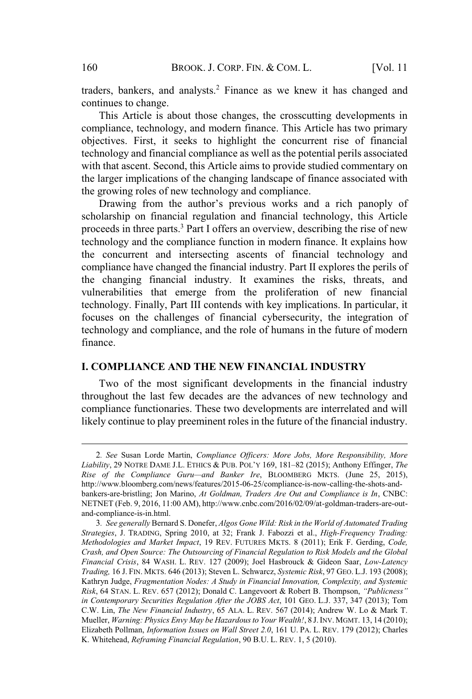traders, bankers, and analysts.<sup>2</sup> Finance as we knew it has changed and continues to change.

This Article is about those changes, the crosscutting developments in compliance, technology, and modern finance. This Article has two primary objectives. First, it seeks to highlight the concurrent rise of financial technology and financial compliance as well as the potential perils associated with that ascent. Second, this Article aims to provide studied commentary on the larger implications of the changing landscape of finance associated with the growing roles of new technology and compliance.

Drawing from the author's previous works and a rich panoply of scholarship on financial regulation and financial technology, this Article proceeds in three parts.<sup>3</sup> Part I offers an overview, describing the rise of new technology and the compliance function in modern finance. It explains how the concurrent and intersecting ascents of financial technology and compliance have changed the financial industry. Part II explores the perils of the changing financial industry. It examines the risks, threats, and vulnerabilities that emerge from the proliferation of new financial technology. Finally, Part III contends with key implications. In particular, it focuses on the challenges of financial cybersecurity, the integration of technology and compliance, and the role of humans in the future of modern finance.

## **I. COMPLIANCE AND THE NEW FINANCIAL INDUSTRY**

Two of the most significant developments in the financial industry throughout the last few decades are the advances of new technology and compliance functionaries. These two developments are interrelated and will likely continue to play preeminent roles in the future of the financial industry.

<sup>2</sup>*. See* Susan Lorde Martin, *Compliance Officers: More Jobs, More Responsibility, More Liability*, 29 NOTRE DAME J.L. ETHICS & PUB. POL'<sup>Y</sup> 169, 181–82 (2015); Anthony Effinger, *The Rise of the Compliance Guru—and Banker Ire*, BLOOMBERG MKTS. (June 25, 2015), http://www.bloomberg.com/news/features/2015-06-25/compliance-is-now-calling-the-shots-andbankers-are-bristling; Jon Marino, *At Goldman, Traders Are Out and Compliance is In*, CNBC: NETNET (Feb. 9, 2016, 11:00 AM), http://www.cnbc.com/2016/02/09/at-goldman-traders-are-outand-compliance-is-in.html.

<sup>3</sup>*. See generally* Bernard S. Donefer, *Algos Gone Wild: Risk in the World of Automated Trading Strategies*, J. TRADING, Spring 2010, at 32; Frank J. Fabozzi et al., *High-Frequency Trading: Methodologies and Market Impact*, 19 REV. FUTURES MKTS. 8 (2011); Erik F. Gerding, *Code, Crash, and Open Source: The Outsourcing of Financial Regulation to Risk Models and the Global Financial Crisis*, 84 WASH. L. REV. 127 (2009); Joel Hasbrouck & Gideon Saar, *Low-Latency Trading,* 16 J. FIN. MKTS. 646 (2013); Steven L. Schwarcz, *Systemic Risk*, 97 GEO. L.J. 193 (2008); Kathryn Judge, *Fragmentation Nodes: A Study in Financial Innovation, Complexity, and Systemic Risk*, 64 STAN. L. REV. 657 (2012); Donald C. Langevoort & Robert B. Thompson, *"Publicness" in Contemporary Securities Regulation After the JOBS Act*, 101 GEO. L.J. 337, 347 (2013); Tom C.W. Lin, *The New Financial Industry*, 65 ALA. L. REV. 567 (2014); Andrew W. Lo & Mark T. Mueller, *Warning: Physics Envy May be Hazardous to Your Wealth!*, 8 J. INV. MGMT. 13, 14 (2010); Elizabeth Pollman, *Information Issues on Wall Street 2.0*, 161 U. PA. L. REV. 179 (2012); Charles K. Whitehead, *Reframing Financial Regulation*, 90 B.U. L. REV. 1, 5 (2010).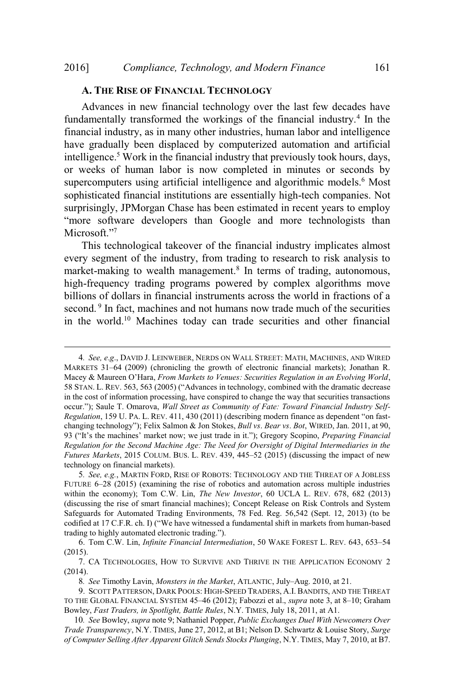#### **A. THE RISE OF FINANCIAL TECHNOLOGY**

Advances in new financial technology over the last few decades have fundamentally transformed the workings of the financial industry.<sup>4</sup> In the financial industry, as in many other industries, human labor and intelligence have gradually been displaced by computerized automation and artificial intelligence.<sup>5</sup> Work in the financial industry that previously took hours, days, or weeks of human labor is now completed in minutes or seconds by supercomputers using artificial intelligence and algorithmic models.<sup>6</sup> Most sophisticated financial institutions are essentially high-tech companies. Not surprisingly, JPMorgan Chase has been estimated in recent years to employ "more software developers than Google and more technologists than Microsoft."7

This technological takeover of the financial industry implicates almost every segment of the industry, from trading to research to risk analysis to market-making to wealth management.<sup>8</sup> In terms of trading, autonomous, high-frequency trading programs powered by complex algorithms move billions of dollars in financial instruments across the world in fractions of a second. <sup>9</sup> In fact, machines and not humans now trade much of the securities in the world.<sup>10</sup> Machines today can trade securities and other financial

<sup>4</sup>*. See, e*.*g*., DAVID J. LEINWEBER, NERDS ON WALL STREET: MATH, MACHINES, AND WIRED MARKETS 31–64 (2009) (chronicling the growth of electronic financial markets); Jonathan R. Macey & Maureen O'Hara, *From Markets to Venues: Securities Regulation in an Evolving World*, 58 STAN. L. REV. 563, 563 (2005) ("Advances in technology, combined with the dramatic decrease in the cost of information processing, have conspired to change the way that securities transactions occur."); Saule T. Omarova, *Wall Street as Community of Fate: Toward Financial Industry Self-Regulation*, 159 U. PA. L. REV. 411, 430 (2011) (describing modern finance as dependent "on fastchanging technology"); Felix Salmon & Jon Stokes, *Bull vs*. *Bear vs*. *Bot*, WIRED, Jan. 2011, at 90, 93 ("It's the machines' market now; we just trade in it."); Gregory Scopino, *Preparing Financial Regulation for the Second Machine Age: The Need for Oversight of Digital Intermediaries in the Futures Markets*, 2015 COLUM. BUS. L. REV. 439, 445–52 (2015) (discussing the impact of new technology on financial markets).

<sup>5</sup>*. See, e.g.*, MARTIN FORD, RISE OF ROBOTS: TECHNOLOGY AND THE THREAT OF A JOBLESS FUTURE 6–28 (2015) (examining the rise of robotics and automation across multiple industries within the economy); Tom C.W. Lin, *The New Investor*, 60 UCLA L. REV. 678, 682 (2013) (discussing the rise of smart financial machines); Concept Release on Risk Controls and System Safeguards for Automated Trading Environments, 78 Fed. Reg. 56,542 (Sept. 12, 2013) (to be codified at 17 C.F.R. ch. I) ("We have witnessed a fundamental shift in markets from human-based trading to highly automated electronic trading.").

<sup>6</sup>. Tom C.W. Lin, *Infinite Financial Intermediation*, 50 WAKE FOREST L. REV. 643, 653–54 (2015).

<sup>7</sup>. CA TECHNOLOGIES, HOW TO SURVIVE AND THRIVE IN THE APPLICATION ECONOMY 2 (2014).

<sup>8</sup>*. See* Timothy Lavin, *Monsters in the Market*, ATLANTIC, July–Aug. 2010, at 21.

<sup>9</sup>. SCOTT PATTERSON, DARK POOLS: HIGH-SPEED TRADERS, A.I. BANDITS, AND THE THREAT TO THE GLOBAL FINANCIAL SYSTEM 45–46 (2012); Fabozzi et al., *supra* note 3, at 8–10; Graham Bowley, *Fast Traders, in Spotlight, Battle Rules*, N.Y. TIMES, July 18, 2011, at A1.

<sup>10</sup>*. See* Bowley, *supra* note 9; Nathaniel Popper, *Public Exchanges Duel With Newcomers Over Trade Transparency*, N.Y. TIMES, June 27, 2012, at B1; Nelson D. Schwartz & Louise Story, *Surge of Computer Selling After Apparent Glitch Sends Stocks Plunging*, N.Y. TIMES, May 7, 2010, at B7.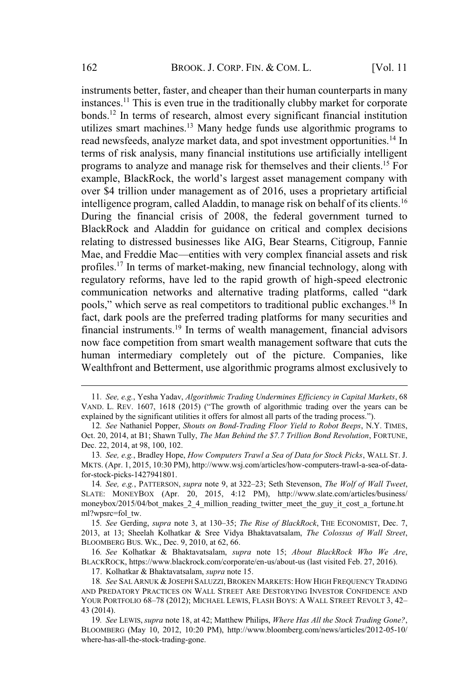instruments better, faster, and cheaper than their human counterparts in many instances.<sup>11</sup> This is even true in the traditionally clubby market for corporate bonds.<sup>12</sup> In terms of research, almost every significant financial institution utilizes smart machines.<sup>13</sup> Many hedge funds use algorithmic programs to read newsfeeds, analyze market data, and spot investment opportunities.<sup>14</sup> In terms of risk analysis, many financial institutions use artificially intelligent programs to analyze and manage risk for themselves and their clients.<sup>15</sup> For example, BlackRock, the world's largest asset management company with over \$4 trillion under management as of 2016, uses a proprietary artificial intelligence program, called Aladdin, to manage risk on behalf of its clients.<sup>16</sup> During the financial crisis of 2008, the federal government turned to BlackRock and Aladdin for guidance on critical and complex decisions relating to distressed businesses like AIG, Bear Stearns, Citigroup, Fannie Mae, and Freddie Mac—entities with very complex financial assets and risk profiles.<sup>17</sup> In terms of market-making, new financial technology, along with regulatory reforms, have led to the rapid growth of high-speed electronic communication networks and alternative trading platforms, called "dark pools," which serve as real competitors to traditional public exchanges.<sup>18</sup> In fact, dark pools are the preferred trading platforms for many securities and financial instruments.<sup>19</sup> In terms of wealth management, financial advisors now face competition from smart wealth management software that cuts the human intermediary completely out of the picture. Companies, like Wealthfront and Betterment, use algorithmic programs almost exclusively to

16*. See* Kolhatkar & Bhaktavatsalam, *supra* note 15; *About BlackRock Who We Are*, BLACKROCK, https://www.blackrock.com/corporate/en-us/about-us (last visited Feb. 27, 2016).

17. Kolhatkar & Bhaktavatsalam, *supra* note 15.

<sup>11</sup>*. See, e.g.*, Yesha Yadav, *Algorithmic Trading Undermines Efficiency in Capital Markets*, 68 VAND. L. REV. 1607, 1618 (2015) ("The growth of algorithmic trading over the years can be explained by the significant utilities it offers for almost all parts of the trading process.").

<sup>12</sup>*. See* Nathaniel Popper, *Shouts on Bond-Trading Floor Yield to Robot Beeps*, N.Y. TIMES, Oct. 20, 2014, at B1; Shawn Tully, *The Man Behind the \$7.7 Trillion Bond Revolution*, FORTUNE, Dec. 22, 2014, at 98, 100, 102.

<sup>13</sup>*. See, e.g.*, Bradley Hope, *How Computers Trawl a Sea of Data for Stock Picks*, WALL ST. J. MKTS. (Apr. 1, 2015, 10:30 PM), http://www.wsj.com/articles/how-computers-trawl-a-sea-of-datafor-stock-picks-1427941801.

<sup>14</sup>*. See, e.g.*, PATTERSON, *supra* note 9, at 322–23; Seth Stevenson, *The Wolf of Wall Tweet*, SLATE: MONEYBOX (Apr. 20, 2015, 4:12 PM), http://www.slate.com/articles/business/ moneybox/2015/04/bot\_makes\_2\_4\_million\_reading\_twitter\_meet\_the\_guy\_it\_cost\_a\_fortune.ht ml?wpsrc=fol\_tw.

<sup>15</sup>*. See* Gerding, *supra* note 3, at 130–35; *The Rise of BlackRock*, THE ECONOMIST, Dec. 7, 2013, at 13; Sheelah Kolhatkar & Sree Vidya Bhaktavatsalam, *The Colossus of Wall Street*, BLOOMBERG BUS. WK., Dec. 9, 2010, at 62, 66.

<sup>18</sup>*. See* SAL ARNUK & JOSEPH SALUZZI, BROKEN MARKETS: HOW HIGH FREQUENCY TRADING AND PREDATORY PRACTICES ON WALL STREET ARE DESTORYING INVESTOR CONFIDENCE AND YOUR PORTFOLIO 68–78 (2012); MICHAEL LEWIS, FLASH BOYS: A WALL STREET REVOLT 3, 42– 43 (2014).

<sup>19</sup>*. See* LEWIS, *supra* note 18, at 42; Matthew Philips, *Where Has All the Stock Trading Gone?*, BLOOMBERG (May 10, 2012, 10:20 PM), http://www.bloomberg.com/news/articles/2012-05-10/ where-has-all-the-stock-trading-gone.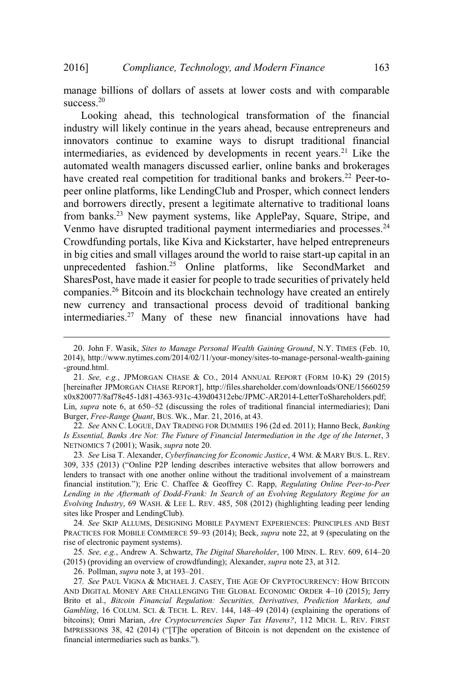manage billions of dollars of assets at lower costs and with comparable success.<sup>20</sup>

Looking ahead, this technological transformation of the financial industry will likely continue in the years ahead, because entrepreneurs and innovators continue to examine ways to disrupt traditional financial intermediaries, as evidenced by developments in recent years.<sup>21</sup> Like the automated wealth managers discussed earlier, online banks and brokerages have created real competition for traditional banks and brokers.<sup>22</sup> Peer-topeer online platforms, like LendingClub and Prosper, which connect lenders and borrowers directly, present a legitimate alternative to traditional loans from banks.<sup>23</sup> New payment systems, like ApplePay, Square, Stripe, and Venmo have disrupted traditional payment intermediaries and processes.<sup>24</sup> Crowdfunding portals, like Kiva and Kickstarter, have helped entrepreneurs in big cities and small villages around the world to raise start-up capital in an unprecedented fashion.<sup>25</sup> Online platforms, like SecondMarket and SharesPost, have made it easier for people to trade securities of privately held companies.<sup>26</sup> Bitcoin and its blockchain technology have created an entirely new currency and transactional process devoid of traditional banking intermediaries.<sup>27</sup> Many of these new financial innovations have had

22*. See* ANN C. LOGUE, DAY TRADING FOR DUMMIES 196 (2d ed. 2011); Hanno Beck, *Banking Is Essential, Banks Are Not: The Future of Financial Intermediation in the Age of the Internet*, 3 NETNOMICS 7 (2001); Wasik, *supra* note 20.

23*. See* Lisa T. Alexander, *Cyberfinancing for Economic Justice*, 4 WM. & MARY BUS. L. REV. 309, 335 (2013) ("Online P2P lending describes interactive websites that allow borrowers and lenders to transact with one another online without the traditional involvement of a mainstream financial institution."); Eric C. Chaffee & Geoffrey C. Rapp, *Regulating Online Peer-to-Peer Lending in the Aftermath of Dodd-Frank: In Search of an Evolving Regulatory Regime for an Evolving Industry*, 69 WASH. & LEE L. REV. 485, 508 (2012) (highlighting leading peer lending sites like Prosper and LendingClub).

24*. See* SKIP ALLUMS, DESIGNING MOBILE PAYMENT EXPERIENCES: PRINCIPLES AND BEST PRACTICES FOR MOBILE COMMERCE 59–93 (2014); Beck, *supra* note 22, at 9 (speculating on the rise of electronic payment systems).

25*. See, e.g.*, Andrew A. Schwartz, *The Digital Shareholder*, 100 MINN. L. REV. 609, 614–20 (2015) (providing an overview of crowdfunding); Alexander, *supra* note 23, at 312.

26. Pollman, *supra* note 3, at 193–201.

<sup>20</sup>. John F. Wasik, *Sites to Manage Personal Wealth Gaining Ground*, N.Y. TIMES (Feb. 10, 2014), http://www.nytimes.com/2014/02/11/your-money/sites-to-manage-personal-wealth-gaining -ground.html.

<sup>21</sup>*. See, e.g.*, JPMORGAN CHASE & CO., 2014 ANNUAL REPORT (FORM 10-K) 29 (2015) [hereinafter JPMORGAN CHASE REPORT], http://files.shareholder.com/downloads/ONE/15660259 x0x820077/8af78e45-1d81-4363-931c-439d04312ebc/JPMC-AR2014-LetterToShareholders.pdf; Lin, *supra* note 6, at 650–52 (discussing the roles of traditional financial intermediaries); Dani Burger, *Free-Range Quant*, BUS. WK., Mar. 21, 2016, at 43.

<sup>27</sup>*. See* PAUL VIGNA & MICHAEL J. CASEY, THE AGE OF CRYPTOCURRENCY: HOW BITCOIN AND DIGITAL MONEY ARE CHALLENGING THE GLOBAL ECONOMIC ORDER 4–10 (2015); Jerry Brito et al., *Bitcoin Financial Regulation: Securities, Derivatives, Prediction Markets, and Gambling*, 16 COLUM. SCI. & TECH. L. REV. 144, 148–49 (2014) (explaining the operations of bitcoins); Omri Marian, *Are Cryptocurrencies Super Tax Havens?*, 112 MICH. L. REV. FIRST IMPRESSIONS 38, 42 (2014) ("[T]he operation of Bitcoin is not dependent on the existence of financial intermediaries such as banks.").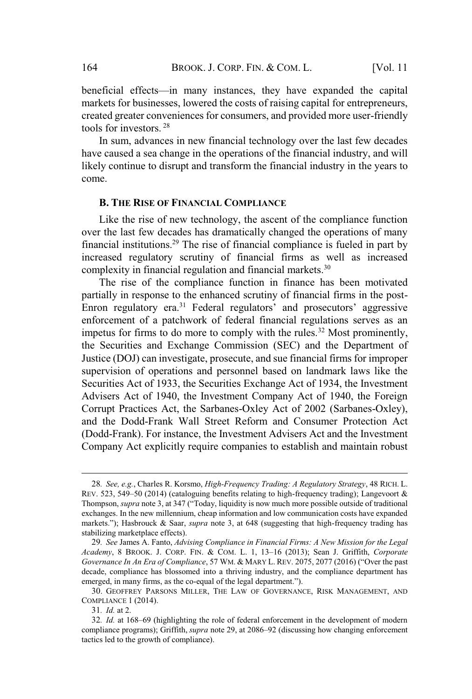beneficial effects—in many instances, they have expanded the capital markets for businesses, lowered the costs of raising capital for entrepreneurs, created greater conveniences for consumers, and provided more user-friendly tools for investors. <sup>28</sup>

In sum, advances in new financial technology over the last few decades have caused a sea change in the operations of the financial industry, and will likely continue to disrupt and transform the financial industry in the years to come.

#### **B. THE RISE OF FINANCIAL COMPLIANCE**

Like the rise of new technology, the ascent of the compliance function over the last few decades has dramatically changed the operations of many financial institutions.<sup>29</sup> The rise of financial compliance is fueled in part by increased regulatory scrutiny of financial firms as well as increased complexity in financial regulation and financial markets.<sup>30</sup>

The rise of the compliance function in finance has been motivated partially in response to the enhanced scrutiny of financial firms in the post-Enron regulatory era.<sup>31</sup> Federal regulators' and prosecutors' aggressive enforcement of a patchwork of federal financial regulations serves as an impetus for firms to do more to comply with the rules.<sup>32</sup> Most prominently, the Securities and Exchange Commission (SEC) and the Department of Justice (DOJ) can investigate, prosecute, and sue financial firms for improper supervision of operations and personnel based on landmark laws like the Securities Act of 1933, the Securities Exchange Act of 1934, the Investment Advisers Act of 1940, the Investment Company Act of 1940, the Foreign Corrupt Practices Act, the Sarbanes-Oxley Act of 2002 (Sarbanes-Oxley), and the Dodd-Frank Wall Street Reform and Consumer Protection Act (Dodd-Frank). For instance, the Investment Advisers Act and the Investment Company Act explicitly require companies to establish and maintain robust

<sup>28</sup>*. See, e.g.*, Charles R. Korsmo, *High-Frequency Trading: A Regulatory Strategy*, 48 RICH. L. REV. 523, 549–50 (2014) (cataloguing benefits relating to high-frequency trading); Langevoort & Thompson, *supra* note 3, at 347 ("Today, liquidity is now much more possible outside of traditional exchanges. In the new millennium, cheap information and low communication costs have expanded markets."); Hasbrouck & Saar, *supra* note 3, at 648 (suggesting that high-frequency trading has stabilizing marketplace effects).

<sup>29</sup>*. See* James A. Fanto, *Advising Compliance in Financial Firms: A New Mission for the Legal Academy*, 8 BROOK. J. CORP. FIN. & COM. L. 1, 13–16 (2013); Sean J. Griffith, *Corporate Governance In An Era of Compliance*, 57 WM. & MARY L. REV. 2075, 2077 (2016) ("Over the past decade, compliance has blossomed into a thriving industry, and the compliance department has emerged, in many firms, as the co-equal of the legal department.").

<sup>30</sup>. GEOFFREY PARSONS MILLER, THE LAW OF GOVERNANCE, RISK MANAGEMENT, AND COMPLIANCE 1 (2014).

<sup>31</sup>*. Id.* at 2.

<sup>32</sup>*. Id.* at 168–69 (highlighting the role of federal enforcement in the development of modern compliance programs); Griffith, *supra* note 29, at 2086–92 (discussing how changing enforcement tactics led to the growth of compliance).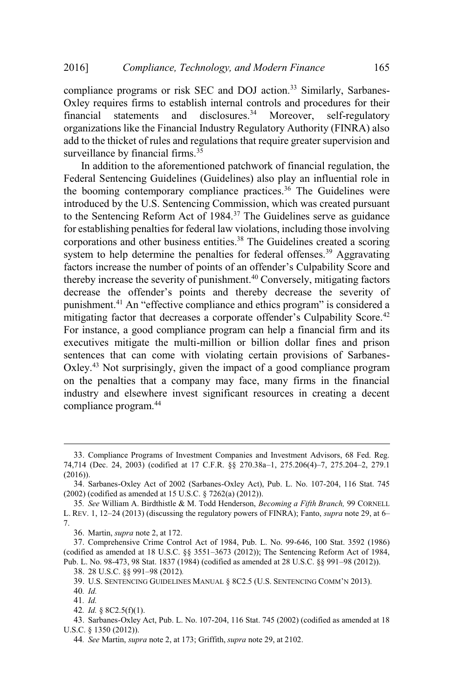compliance programs or risk SEC and DOJ action.<sup>33</sup> Similarly, Sarbanes-Oxley requires firms to establish internal controls and procedures for their financial statements and disclosures.<sup>34</sup> Moreover, self-regulatory organizations like the Financial Industry Regulatory Authority (FINRA) also add to the thicket of rules and regulations that require greater supervision and surveillance by financial firms.<sup>35</sup>

In addition to the aforementioned patchwork of financial regulation, the Federal Sentencing Guidelines (Guidelines) also play an influential role in the booming contemporary compliance practices.<sup>36</sup> The Guidelines were introduced by the U.S. Sentencing Commission, which was created pursuant to the Sentencing Reform Act of 1984.<sup>37</sup> The Guidelines serve as guidance for establishing penalties for federal law violations, including those involving corporations and other business entities.<sup>38</sup> The Guidelines created a scoring system to help determine the penalties for federal offenses.<sup>39</sup> Aggravating factors increase the number of points of an offender's Culpability Score and thereby increase the severity of punishment.<sup>40</sup> Conversely, mitigating factors decrease the offender's points and thereby decrease the severity of punishment.<sup>41</sup> An "effective compliance and ethics program" is considered a mitigating factor that decreases a corporate offender's Culpability Score.<sup>42</sup> For instance, a good compliance program can help a financial firm and its executives mitigate the multi-million or billion dollar fines and prison sentences that can come with violating certain provisions of Sarbanes-Oxley.<sup>43</sup> Not surprisingly, given the impact of a good compliance program on the penalties that a company may face, many firms in the financial industry and elsewhere invest significant resources in creating a decent compliance program.<sup>44</sup>

<sup>33</sup>. Compliance Programs of Investment Companies and Investment Advisors, 68 Fed. Reg. 74,714 (Dec. 24, 2003) (codified at 17 C.F.R. §§ 270.38a–1, 275.206(4)–7, 275.204–2, 279.1 (2016)).

<sup>34</sup>. Sarbanes-Oxley Act of 2002 (Sarbanes-Oxley Act), Pub. L. No. 107-204, 116 Stat. 745 (2002) (codified as amended at 15 U.S.C. § 7262(a) (2012)).

<sup>35</sup>*. See* William A. Birdthistle & M. Todd Henderson, *Becoming a Fifth Branch,* 99 CORNELL L. REV. 1, 12–24 (2013) (discussing the regulatory powers of FINRA); Fanto, *supra* note 29, at 6– 7.

<sup>36</sup>. Martin, *supra* note 2, at 172.

<sup>37</sup>. Comprehensive Crime Control Act of 1984, Pub. L. No. 99-646, 100 Stat. 3592 (1986) (codified as amended at 18 U.S.C. §§ 3551–3673 (2012)); The Sentencing Reform Act of 1984, Pub. L. No. 98-473, 98 Stat. 1837 (1984) (codified as amended at 28 U.S.C. §§ 991–98 (2012)).

<sup>38</sup>. 28 U.S.C. §§ 991–98 (2012)*.*

<sup>39</sup>. U.S. SENTENCING GUIDELINES MANUAL § 8C2.5 (U.S. SENTENCING COMM'<sup>N</sup> 2013).

<sup>40</sup>*. Id.*

<sup>41</sup>*. Id.*

<sup>42</sup>*. Id.* § 8C2.5(f)(1).

<sup>43</sup>. Sarbanes-Oxley Act, Pub. L. No. 107-204, 116 Stat. 745 (2002) (codified as amended at 18 U.S.C. § 1350 (2012)).

<sup>44</sup>*. See* Martin, *supra* note 2, at 173; Griffith, *supra* note 29, at 2102.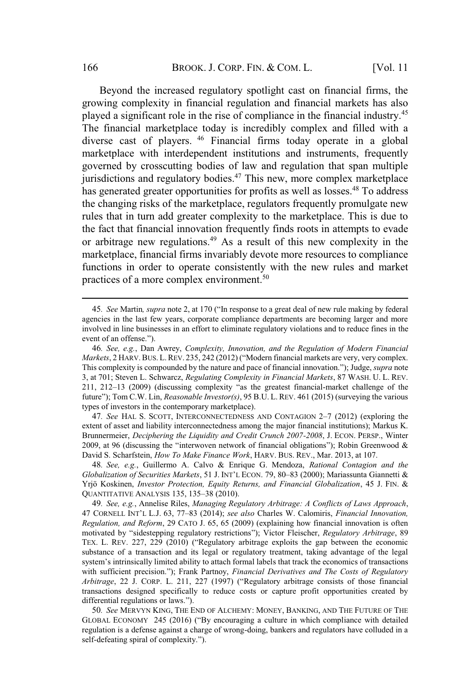Beyond the increased regulatory spotlight cast on financial firms, the growing complexity in financial regulation and financial markets has also played a significant role in the rise of compliance in the financial industry.<sup>45</sup> The financial marketplace today is incredibly complex and filled with a diverse cast of players. <sup>46</sup> Financial firms today operate in a global marketplace with interdependent institutions and instruments, frequently governed by crosscutting bodies of law and regulation that span multiple jurisdictions and regulatory bodies. $47$  This new, more complex marketplace has generated greater opportunities for profits as well as losses.<sup>48</sup> To address the changing risks of the marketplace, regulators frequently promulgate new rules that in turn add greater complexity to the marketplace. This is due to the fact that financial innovation frequently finds roots in attempts to evade or arbitrage new regulations.<sup>49</sup> As a result of this new complexity in the marketplace, financial firms invariably devote more resources to compliance functions in order to operate consistently with the new rules and market practices of a more complex environment.<sup>50</sup>

47*. See* HAL S. SCOTT, INTERCONNECTEDNESS AND CONTAGION 2–7 (2012) (exploring the extent of asset and liability interconnectedness among the major financial institutions); Markus K. Brunnermeier, *Deciphering the Liquidity and Credit Crunch 2007-2008*, J. ECON. PERSP., Winter 2009, at 96 (discussing the "interwoven network of financial obligations"); Robin Greenwood  $\&$ David S. Scharfstein, *How To Make Finance Work*, HARV. BUS. REV., Mar. 2013, at 107.

48*. See, e.g.*, Guillermo A. Calvo & Enrique G. Mendoza, *Rational Contagion and the Globalization of Securities Markets*, 51 J. INT'<sup>L</sup> ECON. 79, 80–83 (2000); Mariassunta Giannetti & Yrjӧ Koskinen, *Investor Protection, Equity Returns, and Financial Globalization*, 45 J. FIN. & QUANTITATIVE ANALYSIS 135, 135–38 (2010).

49*. See, e.g.*, Annelise Riles, *Managing Regulatory Arbitrage: A Conflicts of Laws Approach*, 47 CORNELL INT'<sup>L</sup> L.J. 63, 77–83 (2014); *see also* Charles W. Calomiris, *Financial Innovation, Regulation, and Reform*, 29 CATO J. 65, 65 (2009) (explaining how financial innovation is often motivated by "sidestepping regulatory restrictions"); Victor Fleischer, *Regulatory Arbitrage*, 89 TEX. L. REV. 227, 229 (2010) ("Regulatory arbitrage exploits the gap between the economic substance of a transaction and its legal or regulatory treatment, taking advantage of the legal system's intrinsically limited ability to attach formal labels that track the economics of transactions with sufficient precision."); Frank Partnoy, *Financial Derivatives and The Costs of Regulatory Arbitrage*, 22 J. CORP. L. 211, 227 (1997) ("Regulatory arbitrage consists of those financial transactions designed specifically to reduce costs or capture profit opportunities created by differential regulations or laws.").

50*. See* MERVYN KING, THE END OF ALCHEMY: MONEY, BANKING, AND THE FUTURE OF THE GLOBAL ECONOMY 245 (2016) ("By encouraging a culture in which compliance with detailed regulation is a defense against a charge of wrong-doing, bankers and regulators have colluded in a self-defeating spiral of complexity.").

<sup>45</sup>*. See* Martin*, supra* note 2, at 170 ("In response to a great deal of new rule making by federal agencies in the last few years, corporate compliance departments are becoming larger and more involved in line businesses in an effort to eliminate regulatory violations and to reduce fines in the event of an offense.").

<sup>46</sup>*. See, e.g.*, Dan Awrey, *Complexity, Innovation, and the Regulation of Modern Financial Markets*, 2 HARV. BUS. L. REV. 235, 242 (2012) ("Modern financial markets are very, very complex. This complexity is compounded by the nature and pace of financial innovation."); Judge, *supra* note 3, at 701; Steven L. Schwarcz, *Regulating Complexity in Financial Markets*, 87 WASH. U. L. REV. 211, 212–13 (2009) (discussing complexity "as the greatest financial-market challenge of the future"); Tom C.W. Lin, *Reasonable Investor(s)*, 95 B.U. L. REV. 461 (2015) (surveying the various types of investors in the contemporary marketplace).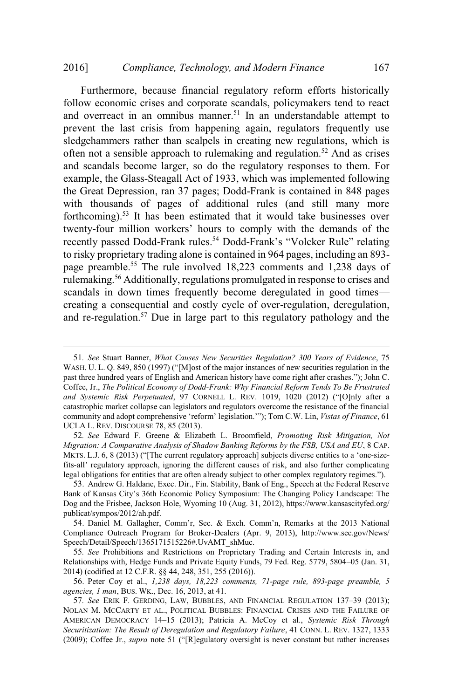#### 2016] *Compliance, Technology, and Modern Finance* 167

Furthermore, because financial regulatory reform efforts historically follow economic crises and corporate scandals, policymakers tend to react and overreact in an omnibus manner.<sup>51</sup> In an understandable attempt to prevent the last crisis from happening again, regulators frequently use sledgehammers rather than scalpels in creating new regulations, which is often not a sensible approach to rulemaking and regulation.<sup>52</sup> And as crises and scandals become larger, so do the regulatory responses to them. For example, the Glass-Steagall Act of 1933, which was implemented following the Great Depression, ran 37 pages; Dodd-Frank is contained in 848 pages with thousands of pages of additional rules (and still many more forthcoming).<sup>53</sup> It has been estimated that it would take businesses over twenty-four million workers' hours to comply with the demands of the recently passed Dodd-Frank rules.<sup>54</sup> Dodd-Frank's "Volcker Rule" relating to risky proprietary trading alone is contained in 964 pages, including an 893 page preamble.<sup>55</sup> The rule involved 18,223 comments and 1,238 days of rulemaking.<sup>56</sup> Additionally, regulations promulgated in response to crises and scandals in down times frequently become deregulated in good times creating a consequential and costly cycle of over-regulation, deregulation, and re-regulation.<sup>57</sup> Due in large part to this regulatory pathology and the

<sup>51</sup>*. See* Stuart Banner, *What Causes New Securities Regulation? 300 Years of Evidence*, 75 WASH. U. L. Q. 849, 850 (1997) ("[M]ost of the major instances of new securities regulation in the past three hundred years of English and American history have come right after crashes."); John C. Coffee, Jr., *The Political Economy of Dodd-Frank: Why Financial Reform Tends To Be Frustrated and Systemic Risk Perpetuated*, 97 CORNELL L. REV. 1019, 1020 (2012) ("[O]nly after a catastrophic market collapse can legislators and regulators overcome the resistance of the financial community and adopt comprehensive 'reform' legislation.'"); Tom C.W. Lin, *Vistas of Finance*, 61 UCLA L. REV. DISCOURSE 78, 85 (2013).

<sup>52</sup>*. See* Edward F. Greene & Elizabeth L. Broomfield, *Promoting Risk Mitigation, Not Migration: A Comparative Analysis of Shadow Banking Reforms by the FSB, USA and EU*, 8 CAP. MKTS. L.J. 6, 8 (2013) ("[The current regulatory approach] subjects diverse entities to a 'one-sizefits-all' regulatory approach, ignoring the different causes of risk, and also further complicating legal obligations for entities that are often already subject to other complex regulatory regimes.").

<sup>53</sup>. Andrew G. Haldane, Exec. Dir., Fin. Stability, Bank of Eng., Speech at the Federal Reserve Bank of Kansas City's 36th Economic Policy Symposium: The Changing Policy Landscape: The Dog and the Frisbee, Jackson Hole, Wyoming 10 (Aug. 31, 2012), https://www.kansascityfed.org/ publicat/sympos/2012/ah.pdf.

<sup>54</sup>. Daniel M. Gallagher, Comm'r, Sec. & Exch. Comm'n, Remarks at the 2013 National Compliance Outreach Program for Broker-Dealers (Apr. 9, 2013), http://www.sec.gov/News/ Speech/Detail/Speech/1365171515226#.UvAMT\_shMuc.

<sup>55</sup>*. See* Prohibitions and Restrictions on Proprietary Trading and Certain Interests in, and Relationships with, Hedge Funds and Private Equity Funds, 79 Fed. Reg. 5779, 5804–05 (Jan. 31, 2014) (codified at 12 C.F.R. §§ 44, 248, 351, 255 (2016)).

<sup>56</sup>. Peter Coy et al., *1,238 days, 18,223 comments, 71-page rule, 893-page preamble, 5 agencies, 1 man*, BUS. WK., Dec. 16, 2013, at 41.

<sup>57</sup>*. See* ERIK F. GERDING, LAW, BUBBLES, AND FINANCIAL REGULATION 137–39 (2013); NOLAN M. MCCARTY ET AL., POLITICAL BUBBLES: FINANCIAL CRISES AND THE FAILURE OF AMERICAN DEMOCRACY 14–15 (2013); Patricia A. McCoy et al., *Systemic Risk Through Securitization: The Result of Deregulation and Regulatory Failure*, 41 CONN. L. REV. 1327, 1333 (2009); Coffee Jr., *supra* note 51 ("[R]egulatory oversight is never constant but rather increases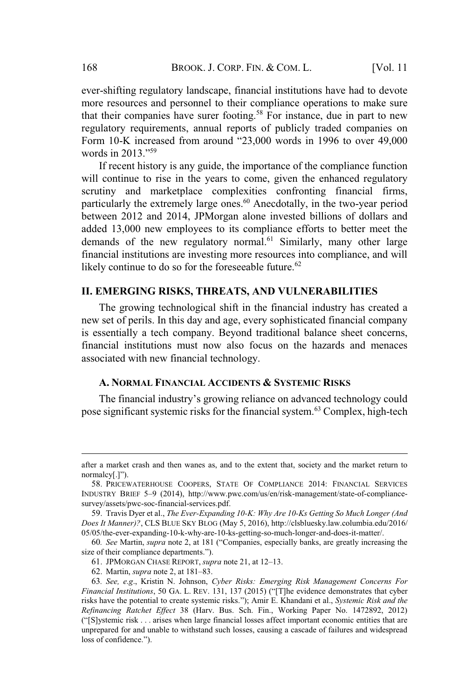ever-shifting regulatory landscape, financial institutions have had to devote more resources and personnel to their compliance operations to make sure that their companies have surer footing.<sup>58</sup> For instance, due in part to new regulatory requirements, annual reports of publicly traded companies on Form 10-K increased from around "23,000 words in 1996 to over 49,000 words in 2013."<sup>59</sup>

If recent history is any guide, the importance of the compliance function will continue to rise in the years to come, given the enhanced regulatory scrutiny and marketplace complexities confronting financial firms, particularly the extremely large ones.<sup>60</sup> Anecdotally, in the two-year period between 2012 and 2014, JPMorgan alone invested billions of dollars and added 13,000 new employees to its compliance efforts to better meet the demands of the new regulatory normal.<sup>61</sup> Similarly, many other large financial institutions are investing more resources into compliance, and will likely continue to do so for the foreseeable future. $62$ 

## **II. EMERGING RISKS, THREATS, AND VULNERABILITIES**

The growing technological shift in the financial industry has created a new set of perils. In this day and age, every sophisticated financial company is essentially a tech company. Beyond traditional balance sheet concerns, financial institutions must now also focus on the hazards and menaces associated with new financial technology.

#### **A. NORMAL FINANCIAL ACCIDENTS & SYSTEMIC RISKS**

The financial industry's growing reliance on advanced technology could pose significant systemic risks for the financial system.<sup>63</sup> Complex, high-tech

after a market crash and then wanes as, and to the extent that, society and the market return to normalcy[.]").

<sup>58</sup>. PRICEWATERHOUSE COOPERS, STATE OF COMPLIANCE 2014: FINANCIAL SERVICES INDUSTRY BRIEF 5–9 (2014), http://www.pwc.com/us/en/risk-management/state-of-compliancesurvey/assets/pwc-soc-financial-services.pdf.

<sup>59</sup>. Travis Dyer et al., *The Ever-Expanding 10-K: Why Are 10-Ks Getting So Much Longer (And Does It Manner)?*, CLS BLUE SKY BLOG (May 5, 2016), http://clsbluesky.law.columbia.edu/2016/ 05/05/the-ever-expanding-10-k-why-are-10-ks-getting-so-much-longer-and-does-it-matter/.

<sup>60</sup>*. See* Martin, *supra* note 2, at 181 ("Companies, especially banks, are greatly increasing the size of their compliance departments.").

<sup>61</sup>. JPMORGAN CHASE REPORT, *supra* note 21, at 12–13.

<sup>62</sup>. Martin, *supra* note 2, at 181–83.

<sup>63</sup>*. See, e*.*g*., Kristin N. Johnson, *Cyber Risks: Emerging Risk Management Concerns For Financial Institutions*, 50 GA. L. REV. 131, 137 (2015) ("[T]he evidence demonstrates that cyber risks have the potential to create systemic risks."); Amir E. Khandani et al., *Systemic Risk and the Refinancing Ratchet Effect* 38 (Harv. Bus. Sch. Fin., Working Paper No. 1472892, 2012) ("[S]ystemic risk . . . arises when large financial losses affect important economic entities that are unprepared for and unable to withstand such losses, causing a cascade of failures and widespread loss of confidence.").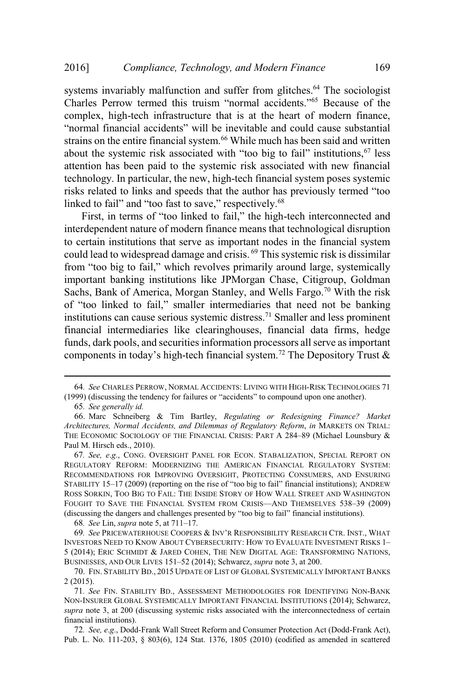systems invariably malfunction and suffer from glitches.<sup>64</sup> The sociologist Charles Perrow termed this truism "normal accidents."<sup>65</sup> Because of the complex, high-tech infrastructure that is at the heart of modern finance, "normal financial accidents" will be inevitable and could cause substantial strains on the entire financial system.<sup>66</sup> While much has been said and written about the systemic risk associated with "too big to fail" institutions,  $67$  less attention has been paid to the systemic risk associated with new financial technology. In particular, the new, high-tech financial system poses systemic risks related to links and speeds that the author has previously termed "too linked to fail" and "too fast to save," respectively.<sup>68</sup>

First, in terms of "too linked to fail," the high-tech interconnected and interdependent nature of modern finance means that technological disruption to certain institutions that serve as important nodes in the financial system could lead to widespread damage and crisis. <sup>69</sup> This systemic risk is dissimilar from "too big to fail," which revolves primarily around large, systemically important banking institutions like JPMorgan Chase, Citigroup, Goldman Sachs, Bank of America, Morgan Stanley, and Wells Fargo.<sup>70</sup> With the risk of "too linked to fail," smaller intermediaries that need not be banking institutions can cause serious systemic distress.<sup>71</sup> Smaller and less prominent financial intermediaries like clearinghouses, financial data firms, hedge funds, dark pools, and securities information processors all serve as important components in today's high-tech financial system.<sup>72</sup> The Depository Trust  $\&$ 

65*. See generally id.*

68*. See* Lin, *supra* note 5, at 711–17.

69*. See* PRICEWATERHOUSE COOPERS & INV'<sup>R</sup> RESPONSIBILITY RESEARCH CTR. INST., WHAT INVESTORS NEED TO KNOW ABOUT CYBERSECURITY: HOW TO EVALUATE INVESTMENT RISKS 1– 5 (2014); ERIC SCHMIDT & JARED COHEN, THE NEW DIGITAL AGE: TRANSFORMING NATIONS, BUSINESSES, AND OUR LIVES 151–52 (2014); Schwarcz, *supra* note 3, at 200.

<sup>64</sup>*. See* CHARLES PERROW, NORMAL ACCIDENTS: LIVING WITH HIGH-RISK TECHNOLOGIES 71 (1999) (discussing the tendency for failures or "accidents" to compound upon one another).

<sup>66</sup>. Marc Schneiberg & Tim Bartley, *Regulating or Redesigning Finance? Market Architectures, Normal Accidents, and Dilemmas of Regulatory Reform*, *in* MARKETS ON TRIAL: THE ECONOMIC SOCIOLOGY OF THE FINANCIAL CRISIS: PART A 284–89 (Michael Lounsbury & Paul M. Hirsch eds., 2010).

<sup>67</sup>*. See, e*.*g*., CONG. OVERSIGHT PANEL FOR ECON. STABALIZATION, SPECIAL REPORT ON REGULATORY REFORM: MODERNIZING THE AMERICAN FINANCIAL REGULATORY SYSTEM: RECOMMENDATIONS FOR IMPROVING OVERSIGHT, PROTECTING CONSUMERS, AND ENSURING STABILITY 15–17 (2009) (reporting on the rise of "too big to fail" financial institutions); ANDREW ROSS SORKIN, TOO BIG TO FAIL: THE INSIDE STORY OF HOW WALL STREET AND WASHINGTON FOUGHT TO SAVE THE FINANCIAL SYSTEM FROM CRISIS—AND THEMSELVES 538–39 (2009) (discussing the dangers and challenges presented by "too big to fail" financial institutions).

<sup>70</sup>. FIN. STABILITY BD., 2015 UPDATE OF LIST OF GLOBAL SYSTEMICALLY IMPORTANT BANKS 2 (2015).

<sup>71</sup>*. See* FIN. STABILITY BD., ASSESSMENT METHODOLOGIES FOR IDENTIFYING NON-BANK NON-INSURER GLOBAL SYSTEMICALLY IMPORTANT FINANCIAL INSTITUTIONS (2014); Schwarcz, *supra* note 3, at 200 (discussing systemic risks associated with the interconnectedness of certain financial institutions).

<sup>72</sup>*. See, e*.*g*., Dodd-Frank Wall Street Reform and Consumer Protection Act (Dodd-Frank Act), Pub. L. No. 111-203, § 803(6), 124 Stat. 1376, 1805 (2010) (codified as amended in scattered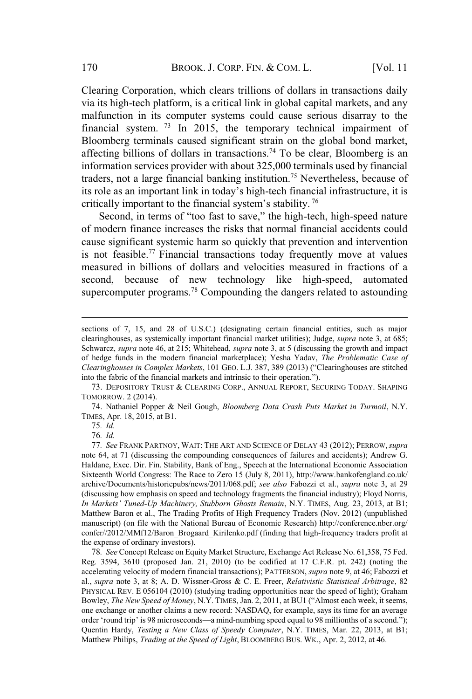Clearing Corporation, which clears trillions of dollars in transactions daily via its high-tech platform, is a critical link in global capital markets, and any malfunction in its computer systems could cause serious disarray to the financial system. <sup>73</sup> In 2015, the temporary technical impairment of Bloomberg terminals caused significant strain on the global bond market, affecting billions of dollars in transactions.<sup>74</sup> To be clear, Bloomberg is an information services provider with about 325,000 terminals used by financial traders, not a large financial banking institution.<sup>75</sup> Nevertheless, because of its role as an important link in today's high-tech financial infrastructure, it is critically important to the financial system's stability.<sup>76</sup>

Second, in terms of "too fast to save," the high-tech, high-speed nature of modern finance increases the risks that normal financial accidents could cause significant systemic harm so quickly that prevention and intervention is not feasible.<sup>77</sup> Financial transactions today frequently move at values measured in billions of dollars and velocities measured in fractions of a second, because of new technology like high-speed, automated supercomputer programs.<sup>78</sup> Compounding the dangers related to astounding

sections of 7, 15, and 28 of U.S.C.) (designating certain financial entities, such as major clearinghouses, as systemically important financial market utilities); Judge, *supra* note 3, at 685; Schwarcz, *supra* note 46, at 215; Whitehead, *supra* note 3, at 5 (discussing the growth and impact of hedge funds in the modern financial marketplace); Yesha Yadav, *The Problematic Case of Clearinghouses in Complex Markets*, 101 GEO. L.J. 387, 389 (2013) ("Clearinghouses are stitched into the fabric of the financial markets and intrinsic to their operation.").

<sup>73</sup>. DEPOSITORY TRUST & CLEARING CORP., ANNUAL REPORT, SECURING TODAY. SHAPING TOMORROW. 2 (2014).

<sup>74</sup>. Nathaniel Popper & Neil Gough, *Bloomberg Data Crash Puts Market in Turmoil*, N.Y. TIMES, Apr. 18, 2015, at B1.

<sup>75</sup>*. Id.*

<sup>76</sup>*. Id.*

<sup>77</sup>*. See* FRANK PARTNOY, WAIT: THE ART AND SCIENCE OF DELAY 43 (2012); PERROW,*supra* note 64, at 71 (discussing the compounding consequences of failures and accidents); Andrew G. Haldane, Exec. Dir. Fin. Stability, Bank of Eng., Speech at the International Economic Association Sixteenth World Congress: The Race to Zero 15 (July 8, 2011), http://www.bankofengland.co.uk/ archive/Documents/historicpubs/news/2011/068.pdf; *see also* Fabozzi et al., *supra* note 3, at 29 (discussing how emphasis on speed and technology fragments the financial industry); Floyd Norris, *In Markets' Tuned-Up Machinery, Stubborn Ghosts Remain*, N.Y. TIMES, Aug. 23, 2013, at B1; Matthew Baron et al., The Trading Profits of High Frequency Traders (Nov. 2012) (unpublished manuscript) (on file with the National Bureau of Economic Research) http://conference.nber.org/ confer//2012/MMf12/Baron\_Brogaard\_Kirilenko.pdf (finding that high-frequency traders profit at the expense of ordinary investors).

<sup>78</sup>*. See* Concept Release on Equity Market Structure, Exchange Act Release No. 61,358, 75 Fed. Reg. 3594, 3610 (proposed Jan. 21, 2010) (to be codified at 17 C.F.R. pt. 242) (noting the accelerating velocity of modern financial transactions); PATTERSON, *supra* note 9, at 46; Fabozzi et al., *supra* note 3, at 8; A. D. Wissner-Gross & C. E. Freer, *Relativistic Statistical Arbitrage*, 82 PHYSICAL REV. E 056104 (2010) (studying trading opportunities near the speed of light); Graham Bowley, *The New Speed of Money*, N.Y. TIMES, Jan. 2, 2011, at BU1 ("Almost each week, it seems, one exchange or another claims a new record: NASDAQ, for example, says its time for an average order 'round trip' is 98 microseconds—a mind-numbing speed equal to 98 millionths of a second."); Quentin Hardy, *Testing a New Class of Speedy Computer*, N.Y. TIMES, Mar. 22, 2013, at B1; Matthew Philips, *Trading at the Speed of Light*, BLOOMBERG BUS. WK., Apr. 2, 2012, at 46.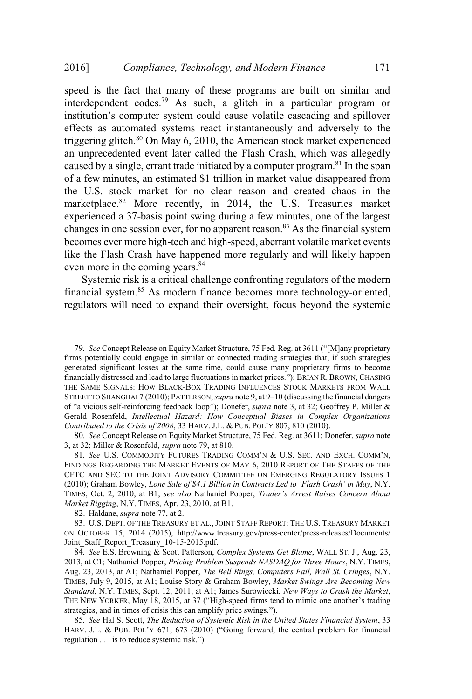speed is the fact that many of these programs are built on similar and interdependent codes.<sup>79</sup> As such, a glitch in a particular program or institution's computer system could cause volatile cascading and spillover effects as automated systems react instantaneously and adversely to the triggering glitch. $80$  On May 6, 2010, the American stock market experienced an unprecedented event later called the Flash Crash, which was allegedly caused by a single, errant trade initiated by a computer program.<sup>81</sup> In the span of a few minutes, an estimated \$1 trillion in market value disappeared from the U.S. stock market for no clear reason and created chaos in the marketplace.<sup>82</sup> More recently, in 2014, the U.S. Treasuries market experienced a 37-basis point swing during a few minutes, one of the largest changes in one session ever, for no apparent reason.<sup>83</sup> As the financial system becomes ever more high-tech and high-speed, aberrant volatile market events like the Flash Crash have happened more regularly and will likely happen even more in the coming years.<sup>84</sup>

Systemic risk is a critical challenge confronting regulators of the modern financial system.<sup>85</sup> As modern finance becomes more technology-oriented, regulators will need to expand their oversight, focus beyond the systemic

<sup>79</sup>*. See* Concept Release on Equity Market Structure, 75 Fed. Reg. at 3611 ("[M]any proprietary firms potentially could engage in similar or connected trading strategies that, if such strategies generated significant losses at the same time, could cause many proprietary firms to become financially distressed and lead to large fluctuations in market prices."); BRIAN R. BROWN, CHASING THE SAME SIGNALS: HOW BLACK-BOX TRADING INFLUENCES STOCK MARKETS FROM WALL STREET TO SHANGHAI 7 (2010); PATTERSON, *supra* note 9, at 9–10 (discussing the financial dangers of "a vicious self-reinforcing feedback loop"); Donefer, *supra* note 3, at 32; Geoffrey P. Miller & Gerald Rosenfeld, *Intellectual Hazard: How Conceptual Biases in Complex Organizations Contributed to the Crisis of 2008*, 33 HARV. J.L. & PUB. POL'<sup>Y</sup> 807, 810 (2010).

<sup>80</sup>*. See* Concept Release on Equity Market Structure, 75 Fed. Reg. at 3611; Donefer, *supra* note 3, at 32; Miller & Rosenfeld, *supra* note 79, at 810.

<sup>81</sup>*. See* U.S. COMMODITY FUTURES TRADING COMM'<sup>N</sup> & U.S. SEC. AND EXCH. COMM'N, FINDINGS REGARDING THE MARKET EVENTS OF MAY 6, 2010 REPORT OF THE STAFFS OF THE CFTC AND SEC TO THE JOINT ADVISORY COMMITTEE ON EMERGING REGULATORY ISSUES 1 (2010); Graham Bowley, *Lone Sale of \$4*.*1 Billion in Contracts Led to 'Flash Crash' in May*, N.Y. TIMES, Oct. 2, 2010, at B1; *see also* Nathaniel Popper, *Trader's Arrest Raises Concern About Market Rigging*, N.Y. TIMES, Apr. 23, 2010, at B1.

<sup>82</sup>. Haldane, *supra* note 77, at 2.

<sup>83</sup>. U.S. DEPT. OF THE TREASURY ET AL., JOINT STAFF REPORT: THE U.S. TREASURY MARKET ON OCTOBER 15, 2014 (2015), http://www.treasury.gov/press-center/press-releases/Documents/ Joint Staff Report Treasury 10-15-2015.pdf.

<sup>84</sup>*. See* E.S. Browning & Scott Patterson, *Complex Systems Get Blame*, WALL ST. J., Aug. 23, 2013, at C1; Nathaniel Popper, *Pricing Problem Suspends NASDAQ for Three Hours*, N.Y. TIMES, Aug. 23, 2013, at A1; Nathaniel Popper, *The Bell Rings, Computers Fail, Wall St. Cringes*, N.Y. TIMES, July 9, 2015, at A1; Louise Story & Graham Bowley, *Market Swings Are Becoming New Standard*, N.Y. TIMES, Sept. 12, 2011, at A1; James Surowiecki, *New Ways to Crash the Market*, THE NEW YORKER, May 18, 2015, at 37 ("High-speed firms tend to mimic one another's trading strategies, and in times of crisis this can amplify price swings.").

<sup>85</sup>*. See* Hal S. Scott, *The Reduction of Systemic Risk in the United States Financial System*, 33 HARV. J.L. & PUB. POL'<sup>Y</sup> 671, 673 (2010) ("Going forward, the central problem for financial regulation . . . is to reduce systemic risk.").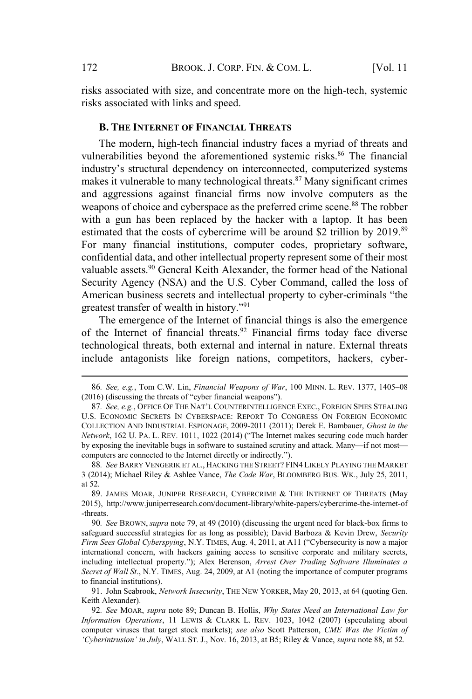risks associated with size, and concentrate more on the high-tech, systemic risks associated with links and speed.

#### **B. THE INTERNET OF FINANCIAL THREATS**

The modern, high-tech financial industry faces a myriad of threats and vulnerabilities beyond the aforementioned systemic risks.<sup>86</sup> The financial industry's structural dependency on interconnected, computerized systems makes it vulnerable to many technological threats.<sup>87</sup> Many significant crimes and aggressions against financial firms now involve computers as the weapons of choice and cyberspace as the preferred crime scene.<sup>88</sup> The robber with a gun has been replaced by the hacker with a laptop. It has been estimated that the costs of cybercrime will be around \$2 trillion by 2019.<sup>89</sup> For many financial institutions, computer codes, proprietary software, confidential data, and other intellectual property represent some of their most valuable assets.<sup>90</sup> General Keith Alexander, the former head of the National Security Agency (NSA) and the U.S. Cyber Command, called the loss of American business secrets and intellectual property to cyber-criminals "the greatest transfer of wealth in history."<sup>91</sup>

The emergence of the Internet of financial things is also the emergence of the Internet of financial threats.<sup>92</sup> Financial firms today face diverse technological threats, both external and internal in nature. External threats include antagonists like foreign nations, competitors, hackers, cyber-

<sup>86</sup>*. See, e.g.*, Tom C.W. Lin, *Financial Weapons of War*, 100 MINN. L. REV. 1377, 1405–08 (2016) (discussing the threats of "cyber financial weapons").

<sup>87</sup>*. See, e.g.*, OFFICE O<sup>F</sup> THE NAT'<sup>L</sup> COUNTERINTELLIGENCE EXEC., FOREIGN SPIES STEALING U.S. ECONOMIC SECRETS IN CYBERSPACE: REPORT TO CONGRESS ON FOREIGN ECONOMIC COLLECTION AND INDUSTRIAL ESPIONAGE, 2009-2011 (2011); Derek E. Bambauer, *Ghost in the Network*, 162 U. PA. L. REV. 1011, 1022 (2014) ("The Internet makes securing code much harder by exposing the inevitable bugs in software to sustained scrutiny and attack. Many—if not most computers are connected to the Internet directly or indirectly.").

<sup>88</sup>*. See* BARRY VENGERIK ET AL., HACKING THE STREET? FIN4 LIKELY PLAYING THE MARKET 3 (2014); Michael Riley & Ashlee Vance, *The Code War*, BLOOMBERG BUS. WK., July 25, 2011, at 52*.*

<sup>89</sup>. JAMES MOAR, JUNIPER RESEARCH, CYBERCRIME & THE INTERNET OF THREATS (May 2015), http://www.juniperresearch.com/document-library/white-papers/cybercrime-the-internet-of -threats.

<sup>90</sup>*. See* BROWN, *supra* note 79, at 49 (2010) (discussing the urgent need for black-box firms to safeguard successful strategies for as long as possible); David Barboza & Kevin Drew, *Security Firm Sees Global Cyberspying*, N.Y. TIMES, Aug. 4, 2011, at A11 ("Cybersecurity is now a major international concern, with hackers gaining access to sensitive corporate and military secrets, including intellectual property."); Alex Berenson, *Arrest Over Trading Software Illuminates a Secret of Wall St*., N.Y. TIMES, Aug. 24, 2009, at A1 (noting the importance of computer programs to financial institutions).

<sup>91</sup>. John Seabrook, *Network Insecurity*, THE NEW YORKER, May 20, 2013, at 64 (quoting Gen. Keith Alexander).

<sup>92</sup>*. See* MOAR, *supra* note 89; Duncan B. Hollis, *Why States Need an International Law for Information Operations*, 11 LEWIS & CLARK L. REV. 1023, 1042 (2007) (speculating about computer viruses that target stock markets); *see also* Scott Patterson, *CME Was the Victim of 'Cyberintrusion' in July*, WALL ST. J., Nov. 16, 2013, at B5; Riley & Vance, *supra* note 88, at 52*.*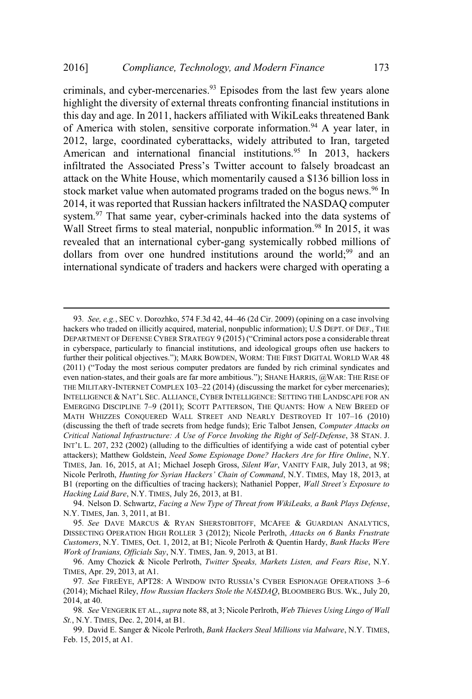criminals, and cyber-mercenaries.<sup>93</sup> Episodes from the last few years alone highlight the diversity of external threats confronting financial institutions in this day and age. In 2011, hackers affiliated with WikiLeaks threatened Bank of America with stolen, sensitive corporate information.<sup>94</sup> A year later, in 2012, large, coordinated cyberattacks, widely attributed to Iran, targeted American and international financial institutions.<sup>95</sup> In 2013, hackers infiltrated the Associated Press's Twitter account to falsely broadcast an attack on the White House, which momentarily caused a \$136 billion loss in stock market value when automated programs traded on the bogus news.<sup>96</sup> In 2014, it was reported that Russian hackers infiltrated the NASDAQ computer system.<sup>97</sup> That same year, cyber-criminals hacked into the data systems of Wall Street firms to steal material, nonpublic information.<sup>98</sup> In 2015, it was revealed that an international cyber-gang systemically robbed millions of dollars from over one hundred institutions around the world;<sup>99</sup> and an international syndicate of traders and hackers were charged with operating a

<sup>93</sup>*. See, e.g.*, SEC v. Dorozhko, 574 F.3d 42, 44–46 (2d Cir. 2009) (opining on a case involving hackers who traded on illicitly acquired, material, nonpublic information); U.S DEPT. OF DEF., THE DEPARTMENT OF DEFENSE CYBER STRATEGY 9 (2015) ("Criminal actors pose a considerable threat in cyberspace, particularly to financial institutions, and ideological groups often use hackers to further their political objectives."); MARK BOWDEN, WORM: THE FIRST DIGITAL WORLD WAR 48 (2011) ("Today the most serious computer predators are funded by rich criminal syndicates and even nation-states, and their goals are far more ambitious."); SHANE HARRIS, @WAR: THE RISE OF THE MILITARY-INTERNET COMPLEX 103–22 (2014) (discussing the market for cyber mercenaries); INTELLIGENCE & NAT'<sup>L</sup> SEC. ALLIANCE, CYBER INTELLIGENCE: SETTING THE LANDSCAPE FOR AN EMERGING DISCIPLINE 7–9 (2011); SCOTT PATTERSON, THE QUANTS: HOW <sup>A</sup> NEW BREED OF MATH WHIZZES CONQUERED WALL STREET AND NEARLY DESTROYED I<sup>T</sup> 107–16 (2010) (discussing the theft of trade secrets from hedge funds); Eric Talbot Jensen, *Computer Attacks on Critical National Infrastructure: A Use of Force Invoking the Right of Self-Defense*, 38 STAN. J. INT'<sup>L</sup> L. 207, 232 (2002) (alluding to the difficulties of identifying a wide cast of potential cyber attackers); Matthew Goldstein, *Need Some Espionage Done? Hackers Are for Hire Online*, N.Y. TIMES, Jan. 16, 2015, at A1; Michael Joseph Gross, *Silent War*, VANITY FAIR, July 2013, at 98; Nicole Perlroth, *Hunting for Syrian Hackers' Chain of Command*, N.Y. TIMES, May 18, 2013, at B1 (reporting on the difficulties of tracing hackers); Nathaniel Popper, *Wall Street's Exposure to Hacking Laid Bare*, N.Y. TIMES, July 26, 2013, at B1.

<sup>94</sup>. Nelson D. Schwartz, *Facing a New Type of Threat from WikiLeaks, a Bank Plays Defense*, N.Y. TIMES, Jan. 3, 2011, at B1.

<sup>95</sup>*. See* DAVE MARCUS & RYAN SHERSTOBITOFF, MCAFEE & GUARDIAN ANALYTICS, DISSECTING OPERATION HIGH ROLLER 3 (2012); Nicole Perlroth, *Attacks on 6 Banks Frustrate Customers*, N.Y. TIMES, Oct. 1, 2012, at B1; Nicole Perlroth & Quentin Hardy, *Bank Hacks Were Work of Iranians, Officials Say*, N.Y. TIMES, Jan. 9, 2013, at B1.

<sup>96</sup>. Amy Chozick & Nicole Perlroth, *Twitter Speaks, Markets Listen, and Fears Rise*, N.Y. TIMES, Apr. 29, 2013, at A1.

<sup>97</sup>*. See* FIREEYE, APT28: A WINDOW INTO RUSSIA'<sup>S</sup> CYBER ESPIONAGE OPERATIONS 3–6 (2014); Michael Riley, *How Russian Hackers Stole the NASDAQ*, BLOOMBERG BUS. WK., July 20, 2014, at 40.

<sup>98</sup>*. See* VENGERIK ET AL.,*supra* note 88, at 3; Nicole Perlroth, *Web Thieves Using Lingo of Wall St.*, N.Y. TIMES, Dec. 2, 2014, at B1.

<sup>99</sup>. David E. Sanger & Nicole Perlroth, *Bank Hackers Steal Millions via Malware*, N.Y. TIMES, Feb. 15, 2015, at A1.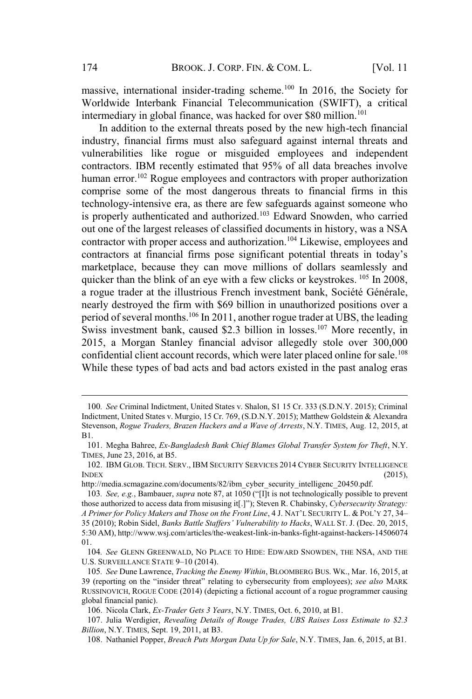massive, international insider-trading scheme.<sup>100</sup> In 2016, the Society for Worldwide Interbank Financial Telecommunication (SWIFT), a critical intermediary in global finance, was hacked for over \$80 million.<sup>101</sup>

In addition to the external threats posed by the new high-tech financial industry, financial firms must also safeguard against internal threats and vulnerabilities like rogue or misguided employees and independent contractors. IBM recently estimated that 95% of all data breaches involve human error.<sup>102</sup> Rogue employees and contractors with proper authorization comprise some of the most dangerous threats to financial firms in this technology-intensive era, as there are few safeguards against someone who is properly authenticated and authorized.<sup>103</sup> Edward Snowden, who carried out one of the largest releases of classified documents in history, was a NSA contractor with proper access and authorization.<sup>104</sup> Likewise, employees and contractors at financial firms pose significant potential threats in today's marketplace, because they can move millions of dollars seamlessly and quicker than the blink of an eye with a few clicks or keystrokes.  $^{105}$  In 2008, a rogue trader at the illustrious French investment bank, Société Générale, nearly destroyed the firm with \$69 billion in unauthorized positions over a period of several months.<sup>106</sup> In 2011, another rogue trader at UBS, the leading Swiss investment bank, caused \$2.3 billion in losses.<sup>107</sup> More recently, in 2015, a Morgan Stanley financial advisor allegedly stole over 300,000 confidential client account records, which were later placed online for sale.<sup>108</sup> While these types of bad acts and bad actors existed in the past analog eras

<sup>100</sup>*. See* Criminal Indictment, United States v. Shalon, S1 15 Cr. 333 (S.D.N.Y. 2015); Criminal Indictment, United States v. Murgio, 15 Cr. 769, (S.D.N.Y. 2015); Matthew Goldstein & Alexandra Stevenson, *Rogue Traders, Brazen Hackers and a Wave of Arrests*, N.Y. TIMES, Aug. 12, 2015, at B1.

<sup>101</sup>. Megha Bahree, *Ex-Bangladesh Bank Chief Blames Global Transfer System for Theft*, N.Y. TIMES, June 23, 2016, at B5.

<sup>102</sup>. IBM GLOB. TECH. SERV., IBM SECURITY SERVICES 2014 CYBER SECURITY INTELLIGENCE  $I_{\text{NDEX}}$  (2015),  $(2015)$ 

http://media.scmagazine.com/documents/82/ibm\_cyber\_security\_intelligenc\_20450.pdf.

<sup>103</sup>*. See, e.g.*, Bambauer, *supra* note 87, at 1050 ("[I]t is not technologically possible to prevent those authorized to access data from misusing it[.]"); Steven R. Chabinsky, *Cybersecurity Strategy: A Primer for Policy Makers and Those on the Front Line*, 4 J. NAT'<sup>L</sup> SECURITY L. & POL'<sup>Y</sup> 27, 34– 35 (2010); Robin Sidel, *Banks Battle Staffers' Vulnerability to Hacks*, WALL ST. J. (Dec. 20, 2015, 5:30 AM), http://www.wsj.com/articles/the-weakest-link-in-banks-fight-against-hackers-14506074 01.

<sup>104</sup>*. See* GLENN GREENWALD, NO PLACE TO HIDE: EDWARD SNOWDEN, THE NSA, AND THE U.S. SURVEILLANCE STATE 9–10 (2014).

<sup>105</sup>*. See* Dune Lawrence, *Tracking the Enemy Within*, BLOOMBERG BUS. WK., Mar. 16, 2015, at 39 (reporting on the "insider threat" relating to cybersecurity from employees); *see also* MARK RUSSINOVICH, ROGUE CODE (2014) (depicting a fictional account of a rogue programmer causing global financial panic).

<sup>106</sup>. Nicola Clark, *Ex-Trader Gets 3 Years*, N.Y. TIMES, Oct. 6, 2010, at B1.

<sup>107</sup>. Julia Werdigier, *Revealing Details of Rouge Trades, UBS Raises Loss Estimate to \$2.3 Billion*, N.Y. TIMES, Sept. 19, 2011, at B3.

<sup>108</sup>. Nathaniel Popper, *Breach Puts Morgan Data Up for Sale*, N.Y. TIMES, Jan. 6, 2015, at B1.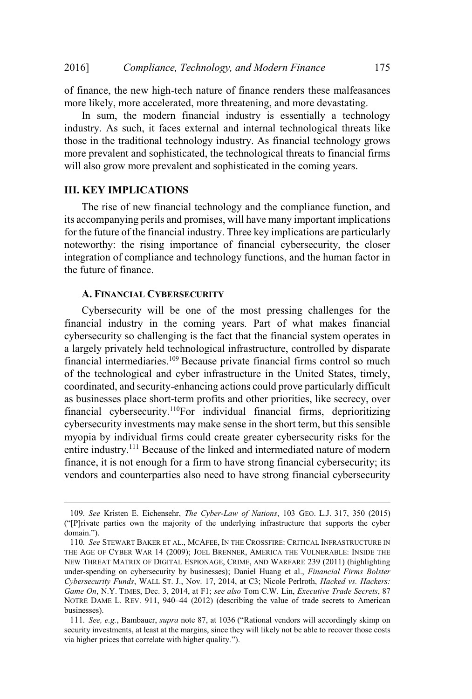of finance, the new high-tech nature of finance renders these malfeasances more likely, more accelerated, more threatening, and more devastating.

In sum, the modern financial industry is essentially a technology industry. As such, it faces external and internal technological threats like those in the traditional technology industry. As financial technology grows more prevalent and sophisticated, the technological threats to financial firms will also grow more prevalent and sophisticated in the coming years.

#### **III. KEY IMPLICATIONS**

The rise of new financial technology and the compliance function, and its accompanying perils and promises, will have many important implications for the future of the financial industry. Three key implications are particularly noteworthy: the rising importance of financial cybersecurity, the closer integration of compliance and technology functions, and the human factor in the future of finance.

#### **A. FINANCIAL CYBERSECURITY**

Cybersecurity will be one of the most pressing challenges for the financial industry in the coming years. Part of what makes financial cybersecurity so challenging is the fact that the financial system operates in a largely privately held technological infrastructure, controlled by disparate financial intermediaries.<sup>109</sup> Because private financial firms control so much of the technological and cyber infrastructure in the United States, timely, coordinated, and security-enhancing actions could prove particularly difficult as businesses place short-term profits and other priorities, like secrecy, over financial cybersecurity.110For individual financial firms, deprioritizing cybersecurity investments may make sense in the short term, but this sensible myopia by individual firms could create greater cybersecurity risks for the entire industry.<sup>111</sup> Because of the linked and intermediated nature of modern finance, it is not enough for a firm to have strong financial cybersecurity; its vendors and counterparties also need to have strong financial cybersecurity

<sup>109</sup>*. See* Kristen E. Eichensehr, *The Cyber-Law of Nations*, 103 GEO. L.J. 317, 350 (2015) ("[P]rivate parties own the majority of the underlying infrastructure that supports the cyber domain.").

<sup>110</sup>*. See* STEWART BAKER ET AL., MCAFEE, IN THE CROSSFIRE: CRITICAL INFRASTRUCTURE IN THE AGE OF CYBER WAR 14 (2009); JOEL BRENNER, AMERICA THE VULNERABLE: INSIDE THE NEW THREAT MATRIX OF DIGITAL ESPIONAGE, CRIME, AND WARFARE 239 (2011) (highlighting under-spending on cybersecurity by businesses); Daniel Huang et al., *Financial Firms Bolster Cybersecurity Funds*, WALL ST. J., Nov. 17, 2014, at C3; Nicole Perlroth, *Hacked vs. Hackers: Game On*, N.Y. TIMES, Dec. 3, 2014, at F1; *see also* Tom C.W. Lin, *Executive Trade Secrets*, 87 NOTRE DAME L. REV. 911, 940–44 (2012) (describing the value of trade secrets to American businesses).

<sup>111</sup>*. See, e.g.*, Bambauer, *supra* note 87, at 1036 ("Rational vendors will accordingly skimp on security investments, at least at the margins, since they will likely not be able to recover those costs via higher prices that correlate with higher quality.").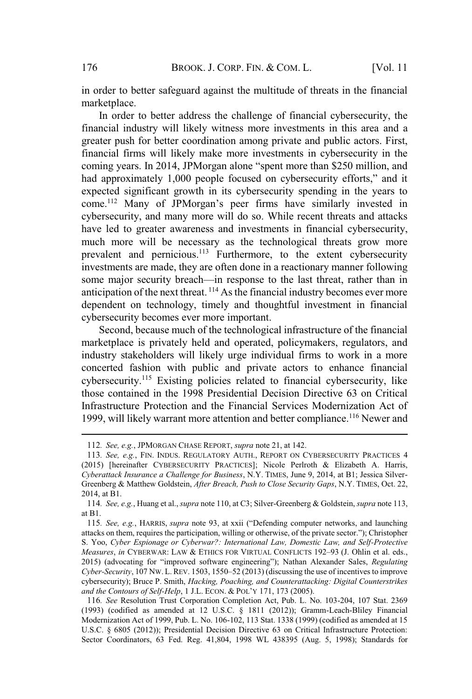in order to better safeguard against the multitude of threats in the financial marketplace.

In order to better address the challenge of financial cybersecurity, the financial industry will likely witness more investments in this area and a greater push for better coordination among private and public actors. First, financial firms will likely make more investments in cybersecurity in the coming years. In 2014, JPMorgan alone "spent more than \$250 million, and had approximately 1,000 people focused on cybersecurity efforts," and it expected significant growth in its cybersecurity spending in the years to come.<sup>112</sup> Many of JPMorgan's peer firms have similarly invested in cybersecurity, and many more will do so. While recent threats and attacks have led to greater awareness and investments in financial cybersecurity, much more will be necessary as the technological threats grow more prevalent and pernicious.<sup>113</sup> Furthermore, to the extent cybersecurity investments are made, they are often done in a reactionary manner following some major security breach—in response to the last threat, rather than in anticipation of the next threat. <sup>114</sup> As the financial industry becomes ever more dependent on technology, timely and thoughtful investment in financial cybersecurity becomes ever more important.

Second, because much of the technological infrastructure of the financial marketplace is privately held and operated, policymakers, regulators, and industry stakeholders will likely urge individual firms to work in a more concerted fashion with public and private actors to enhance financial cybersecurity.<sup>115</sup> Existing policies related to financial cybersecurity, like those contained in the 1998 Presidential Decision Directive 63 on Critical Infrastructure Protection and the Financial Services Modernization Act of 1999, will likely warrant more attention and better compliance.<sup>116</sup> Newer and

<sup>112</sup>*. See, e.g.*, JPMORGAN CHASE REPORT, *supra* note 21, at 142.

<sup>113</sup>*. See, e.g.*, FIN. INDUS. REGULATORY AUTH., REPORT ON CYBERSECURITY PRACTICES 4 (2015) [hereinafter CYBERSECURITY PRACTICES]; Nicole Perlroth & Elizabeth A. Harris, *Cyberattack Insurance a Challenge for Business*, N.Y. TIMES, June 9, 2014, at B1; Jessica Silver-Greenberg & Matthew Goldstein, *After Breach, Push to Close Security Gaps*, N.Y. TIMES, Oct. 22, 2014, at B1.

<sup>114</sup>*. See, e.g.*, Huang et al., *supra* note 110, at C3; Silver-Greenberg & Goldstein, *supra* note 113, at B1.

<sup>115</sup>*. See, e.g.*, HARRIS, *supra* note 93, at xxii ("Defending computer networks, and launching attacks on them, requires the participation, willing or otherwise, of the private sector."); Christopher S. Yoo, *Cyber Espionage or Cyberwar?: International Law, Domestic Law, and Self-Protective Measures*, *in* CYBERWAR: LAW & ETHICS FOR VIRTUAL CONFLICTS 192–93 (J. Ohlin et al. eds., 2015) (advocating for "improved software engineering"); Nathan Alexander Sales, *Regulating Cyber-Security*, 107 NW. L. REV. 1503, 1550–52 (2013) (discussing the use of incentives to improve cybersecurity); Bruce P. Smith, *Hacking, Poaching, and Counterattacking: Digital Counterstrikes and the Contours of Self-Help*, 1 J.L. ECON. & POL'<sup>Y</sup> 171, 173 (2005).

<sup>116</sup>*. See* Resolution Trust Corporation Completion Act, Pub. L. No. 103-204, 107 Stat. 2369 (1993) (codified as amended at 12 U.S.C. § 1811 (2012)); Gramm-Leach-Bliley Financial Modernization Act of 1999, Pub. L. No. 106-102, 113 Stat. 1338 (1999) (codified as amended at 15 U.S.C. § 6805 (2012)); Presidential Decision Directive 63 on Critical Infrastructure Protection: Sector Coordinators, 63 Fed. Reg. 41,804, 1998 WL 438395 (Aug. 5, 1998); Standards for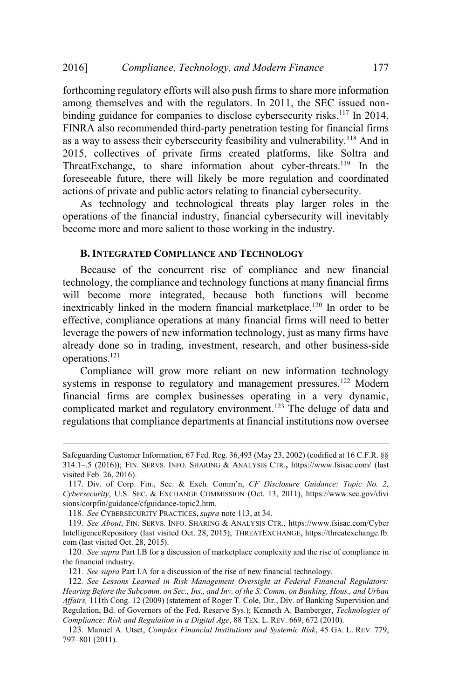forthcoming regulatory efforts will also push firms to share more information among themselves and with the regulators. In 2011, the SEC issued nonbinding guidance for companies to disclose cybersecurity risks.<sup>117</sup> In 2014, FINRA also recommended third-party penetration testing for financial firms as a way to assess their cybersecurity feasibility and vulnerability.<sup>118</sup> And in 2015, collectives of private firms created platforms, like Soltra and ThreatExchange, to share information about cyber-threats.<sup>119</sup> In the foreseeable future, there will likely be more regulation and coordinated actions of private and public actors relating to financial cybersecurity.

As technology and technological threats play larger roles in the operations of the financial industry, financial cybersecurity will inevitably become more and more salient to those working in the industry.

# **B. INTEGRATED COMPLIANCE AND TECHNOLOGY**

Because of the concurrent rise of compliance and new financial technology, the compliance and technology functions at many financial firms will become more integrated, because both functions will become inextricably linked in the modern financial marketplace.<sup>120</sup> In order to be effective, compliance operations at many financial firms will need to better leverage the powers of new information technology, just as many firms have already done so in trading, investment, research, and other business-side operations.<sup>121</sup>

Compliance will grow more reliant on new information technology systems in response to regulatory and management pressures.<sup>122</sup> Modern financial firms are complex businesses operating in a very dynamic, complicated market and regulatory environment.<sup>123</sup> The deluge of data and regulations that compliance departments at financial institutions now oversee

Safeguarding Customer Information, 67 Fed. Reg. 36,493 (May 23, 2002) (codified at 16 C.F.R. §§ 314.1–.5 (2016)); FIN. SERVS. INFO. SHARING & ANALYSIS CTR.**,** https://www.fsisac.com/ (last visited Feb. 26, 2016).

<sup>117</sup>. Div. of Corp. Fin., Sec. & Exch. Comm'n, *CF Disclosure Guidance: Topic No. 2, Cybersecurity*, U.S. SEC. & EXCHANGE COMMISSION (Oct. 13, 2011), https://www.sec.gov/divi sions/corpfin/guidance/cfguidance-topic2.htm.

<sup>118</sup>*. See* CYBERSECURITY PRACTICES, *supra* note 113, at 34.

<sup>119</sup>*. See About*, FIN. SERVS. INFO. SHARING & ANALYSIS CTR., https://www.fsisac.com/Cyber IntelligenceRepository (last visited Oct. 28, 2015); THREATEXCHANGE, https://threatexchange.fb. com (last visited Oct. 28, 2015).

<sup>120</sup>*. See supra* Part I.B for a discussion of marketplace complexity and the rise of compliance in the financial industry.

<sup>121</sup>*. See supra* Part I.A for a discussion of the rise of new financial technology.

<sup>122</sup>*. See Lessons Learned in Risk Management Oversight at Federal Financial Regulators: Hearing Before the Subcomm. on Sec., Ins., and Inv. of the S. Comm. on Banking, Hous., and Urban Affairs,* 111th Cong. 12 (2009) (statement of Roger T. Cole, Dir., Div. of Banking Supervision and Regulation, Bd. of Governors of the Fed. Reserve Sys.); Kenneth A. Bamberger, *Technologies of Compliance: Risk and Regulation in a Digital Age*, 88 TEX. L. REV. 669, 672 (2010).

<sup>123</sup>. Manuel A. Utset, *Complex Financial Institutions and Systemic Risk*, 45 GA. L. REV. 779, 797–801 (2011).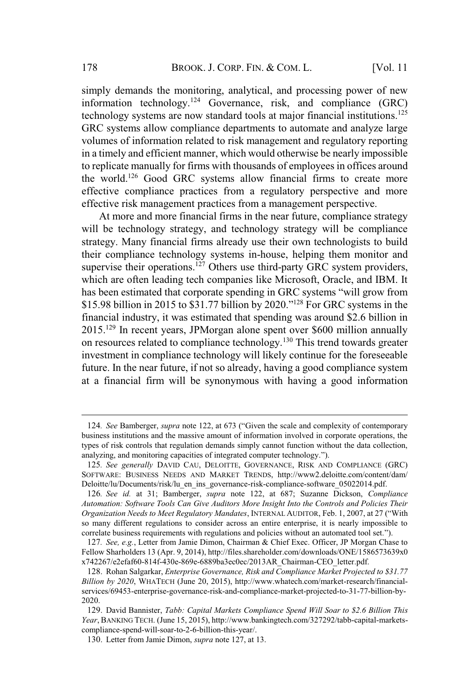simply demands the monitoring, analytical, and processing power of new information technology.<sup>124</sup> Governance, risk, and compliance (GRC) technology systems are now standard tools at major financial institutions.<sup>125</sup> GRC systems allow compliance departments to automate and analyze large volumes of information related to risk management and regulatory reporting in a timely and efficient manner, which would otherwise be nearly impossible to replicate manually for firms with thousands of employees in offices around the world.<sup>126</sup> Good GRC systems allow financial firms to create more effective compliance practices from a regulatory perspective and more effective risk management practices from a management perspective.

At more and more financial firms in the near future, compliance strategy will be technology strategy, and technology strategy will be compliance strategy. Many financial firms already use their own technologists to build their compliance technology systems in-house, helping them monitor and supervise their operations.<sup>127</sup> Others use third-party GRC system providers, which are often leading tech companies like Microsoft, Oracle, and IBM. It has been estimated that corporate spending in GRC systems "will grow from \$15.98 billion in 2015 to \$31.77 billion by 2020."<sup>128</sup> For GRC systems in the financial industry, it was estimated that spending was around \$2.6 billion in 2015.<sup>129</sup> In recent years, JPMorgan alone spent over \$600 million annually on resources related to compliance technology.<sup>130</sup> This trend towards greater investment in compliance technology will likely continue for the foreseeable future. In the near future, if not so already, having a good compliance system at a financial firm will be synonymous with having a good information

<sup>124</sup>*. See* Bamberger, *supra* note 122, at 673 ("Given the scale and complexity of contemporary business institutions and the massive amount of information involved in corporate operations, the types of risk controls that regulation demands simply cannot function without the data collection, analyzing, and monitoring capacities of integrated computer technology.").

<sup>125</sup>*. See generally* DAVID CAU, DELOITTE, GOVERNANCE, RISK AND COMPLIANCE (GRC) SOFTWARE: BUSINESS NEEDS AND MARKET TRENDS, http://www2.deloitte.com/content/dam/ Deloitte/lu/Documents/risk/lu\_en\_ins\_governance-risk-compliance-software\_05022014.pdf.

<sup>126</sup>*. See id.* at 31; Bamberger, *supra* note 122, at 687; Suzanne Dickson, *Compliance Automation: Software Tools Can Give Auditors More Insight Into the Controls and Policies Their Organization Needs to Meet Regulatory Mandates*, INTERNAL AUDITOR, Feb. 1, 2007, at 27 ("With so many different regulations to consider across an entire enterprise, it is nearly impossible to correlate business requirements with regulations and policies without an automated tool set.").

<sup>127</sup>*. See, e.g.*, Letter from Jamie Dimon, Chairman & Chief Exec. Officer, JP Morgan Chase to Fellow Sharholders 13 (Apr. 9, 2014), http://files.shareholder.com/downloads/ONE/1586573639x0 x742267/e2efaf60-814f-430e-869e-6889ba3ec0ec/2013AR\_Chairman-CEO\_letter.pdf.

<sup>128</sup>. Rohan Salgarkar, *Enterprise Governance, Risk and Compliance Market Projected to \$31.77 Billion by 2020*, WHATECH (June 20, 2015), http://www.whatech.com/market-research/financialservices/69453-enterprise-governance-risk-and-compliance-market-projected-to-31-77-billion-by-2020.

<sup>129</sup>. David Bannister, *Tabb: Capital Markets Compliance Spend Will Soar to \$2.6 Billion This Year*, BANKING TECH. (June 15, 2015), http://www.bankingtech.com/327292/tabb-capital-marketscompliance-spend-will-soar-to-2-6-billion-this-year/.

<sup>130</sup>. Letter from Jamie Dimon, *supra* note 127, at 13.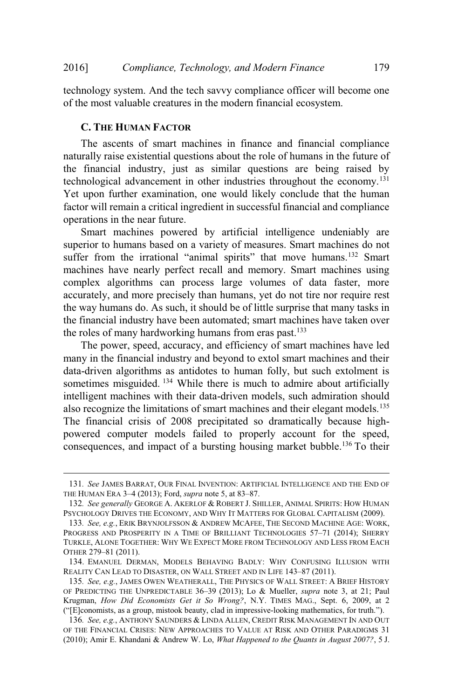technology system. And the tech savvy compliance officer will become one of the most valuable creatures in the modern financial ecosystem.

#### **C. THE HUMAN FACTOR**

The ascents of smart machines in finance and financial compliance naturally raise existential questions about the role of humans in the future of the financial industry, just as similar questions are being raised by technological advancement in other industries throughout the economy.<sup>131</sup> Yet upon further examination, one would likely conclude that the human factor will remain a critical ingredient in successful financial and compliance operations in the near future.

Smart machines powered by artificial intelligence undeniably are superior to humans based on a variety of measures. Smart machines do not suffer from the irrational "animal spirits" that move humans.<sup>132</sup> Smart machines have nearly perfect recall and memory. Smart machines using complex algorithms can process large volumes of data faster, more accurately, and more precisely than humans, yet do not tire nor require rest the way humans do. As such, it should be of little surprise that many tasks in the financial industry have been automated; smart machines have taken over the roles of many hardworking humans from eras past.<sup>133</sup>

The power, speed, accuracy, and efficiency of smart machines have led many in the financial industry and beyond to extol smart machines and their data-driven algorithms as antidotes to human folly, but such extolment is sometimes misguided. <sup>134</sup> While there is much to admire about artificially intelligent machines with their data-driven models, such admiration should also recognize the limitations of smart machines and their elegant models.<sup>135</sup> The financial crisis of 2008 precipitated so dramatically because highpowered computer models failed to properly account for the speed, consequences, and impact of a bursting housing market bubble.<sup>136</sup> To their

<sup>131</sup>*. See* JAMES BARRAT, OUR FINAL INVENTION: ARTIFICIAL INTELLIGENCE AND THE END OF THE HUMAN ERA 3–4 (2013); Ford, *supra* note 5, at 83–87.

<sup>132</sup>*. See generally* GEORGE A. AKERLOF & ROBERT J. SHILLER, ANIMAL SPIRITS: HOW HUMAN PSYCHOLOGY DRIVES THE ECONOMY, AND WHY IT MATTERS FOR GLOBAL CAPITALISM (2009).

<sup>133</sup>*. See, e.g.*, ERIK BRYNJOLFSSON & ANDREW MCAFEE, THE SECOND MACHINE AGE: WORK, PROGRESS AND PROSPERITY IN <sup>A</sup> TIME OF BRILLIANT TECHNOLOGIES 57–71 (2014); SHERRY TURKLE, ALONE TOGETHER: WHY WE EXPECT MORE FROM TECHNOLOGY AND LESS FROM EACH OTHER 279–81 (2011).

<sup>134</sup>. EMANUEL DERMAN, MODELS BEHAVING BADLY: WHY CONFUSING ILLUSION WITH REALITY CAN LEAD TO DISASTER, ON WALL STREET AND IN LIFE 143–87 (2011).

<sup>135</sup>*. See, e.g.*, JAMES OWEN WEATHERALL, THE PHYSICS OF WALL STREET: A BRIEF HISTORY OF PREDICTING THE UNPREDICTABLE 36–39 (2013); Lo & Mueller, *supra* note 3, at 21; Paul Krugman, *How Did Economists Get it So Wrong?*, N.Y. TIMES MAG., Sept. 6, 2009, at 2 ("[E]conomists, as a group, mistook beauty, clad in impressive-looking mathematics, for truth.").

<sup>136</sup>*. See, e.g.*, ANTHONY SAUNDERS & LINDA ALLEN, CREDIT RISK MANAGEMENT IN AND OUT OF THE FINANCIAL CRISES: NEW APPROACHES TO VALUE AT RISK AND OTHER PARADIGMS 31 (2010); Amir E. Khandani & Andrew W. Lo, *What Happened to the Quants in August 2007?*, 5 J.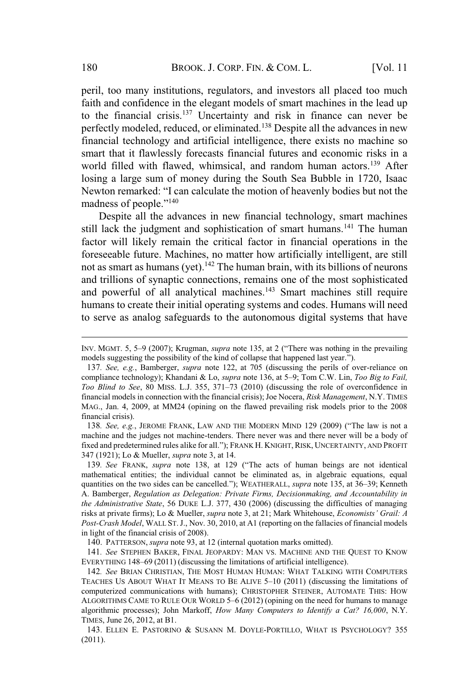peril, too many institutions, regulators, and investors all placed too much faith and confidence in the elegant models of smart machines in the lead up to the financial crisis.<sup>137</sup> Uncertainty and risk in finance can never be perfectly modeled, reduced, or eliminated.<sup>138</sup> Despite all the advances in new financial technology and artificial intelligence, there exists no machine so smart that it flawlessly forecasts financial futures and economic risks in a world filled with flawed, whimsical, and random human actors.<sup>139</sup> After losing a large sum of money during the South Sea Bubble in 1720, Isaac Newton remarked: "I can calculate the motion of heavenly bodies but not the madness of people."<sup>140</sup>

Despite all the advances in new financial technology, smart machines still lack the judgment and sophistication of smart humans.<sup>141</sup> The human factor will likely remain the critical factor in financial operations in the foreseeable future. Machines, no matter how artificially intelligent, are still not as smart as humans (yet).<sup>142</sup> The human brain, with its billions of neurons and trillions of synaptic connections, remains one of the most sophisticated and powerful of all analytical machines.<sup>143</sup> Smart machines still require humans to create their initial operating systems and codes. Humans will need to serve as analog safeguards to the autonomous digital systems that have

138*. See, e.g.*, JEROME FRANK, LAW AND THE MODERN MIND 129 (2009) ("The law is not a machine and the judges not machine-tenders. There never was and there never will be a body of fixed and predetermined rules alike for all."); FRANK H. KNIGHT, RISK, UNCERTAINTY, AND PROFIT 347 (1921); Lo & Mueller, *supra* note 3, at 14.

139*. See* FRANK, *supra* note 138, at 129 ("The acts of human beings are not identical mathematical entities; the individual cannot be eliminated as, in algebraic equations, equal quantities on the two sides can be cancelled."); WEATHERALL, *supra* note 135, at 36–39; Kenneth A. Bamberger, *Regulation as Delegation: Private Firms, Decisionmaking, and Accountability in the Administrative State*, 56 DUKE L.J. 377, 430 (2006) (discussing the difficulties of managing risks at private firms); Lo & Mueller, *supra* note 3, at 21; Mark Whitehouse, *Economists' Grail: A Post-Crash Model*, WALL ST.J., Nov. 30, 2010, at A1 (reporting on the fallacies of financial models in light of the financial crisis of 2008).

140. PATTERSON, *supra* note 93, at 12 (internal quotation marks omitted).

141*. See* STEPHEN BAKER, FINAL JEOPARDY: MAN VS. MACHINE AND THE QUEST TO KNOW EVERYTHING 148–69 (2011) (discussing the limitations of artificial intelligence).

142*. See* BRIAN CHRISTIAN, THE MOST HUMAN HUMAN: WHAT TALKING WITH COMPUTERS TEACHES U<sup>S</sup> ABOUT WHAT I<sup>T</sup> MEANS TO B<sup>E</sup> ALIVE 5–10 (2011) (discussing the limitations of computerized communications with humans); CHRISTOPHER STEINER, AUTOMATE THIS: HOW ALGORITHMS CAME TO RULE OUR WORLD 5–6 (2012) (opining on the need for humans to manage algorithmic processes); John Markoff, *How Many Computers to Identify a Cat? 16,000*, N.Y. TIMES, June 26, 2012, at B1.

143. ELLEN E. PASTORINO & SUSANN M. DOYLE-PORTILLO, WHAT IS PSYCHOLOGY? 355 (2011).

INV. MGMT. 5, 5–9 (2007); Krugman, *supra* note 135, at 2 ("There was nothing in the prevailing models suggesting the possibility of the kind of collapse that happened last year.").

<sup>137</sup>*. See, e.g.*, Bamberger, *supra* note 122, at 705 (discussing the perils of over-reliance on compliance technology); Khandani & Lo, *supra* note 136, at 5–9; Tom C.W. Lin, *Too Big to Fail, Too Blind to See*, 80 MISS. L.J. 355, 371–73 (2010) (discussing the role of overconfidence in financial models in connection with the financial crisis);Joe Nocera, *Risk Management*, N.Y. TIMES MAG., Jan. 4, 2009, at MM24 (opining on the flawed prevailing risk models prior to the 2008 financial crisis).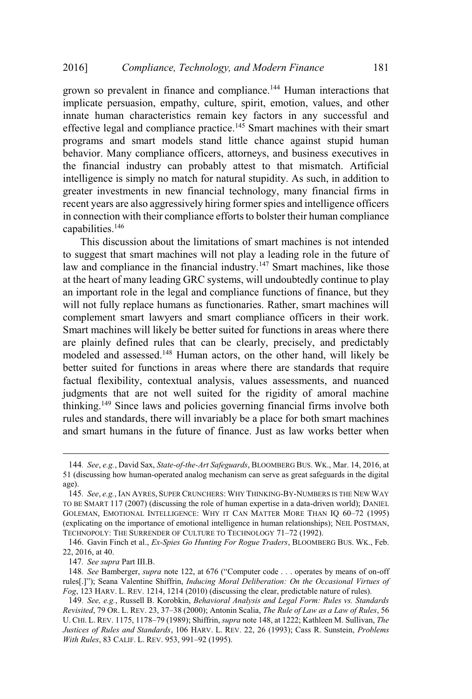grown so prevalent in finance and compliance.<sup>144</sup> Human interactions that implicate persuasion, empathy, culture, spirit, emotion, values, and other innate human characteristics remain key factors in any successful and effective legal and compliance practice.<sup>145</sup> Smart machines with their smart programs and smart models stand little chance against stupid human behavior. Many compliance officers, attorneys, and business executives in the financial industry can probably attest to that mismatch. Artificial intelligence is simply no match for natural stupidity. As such, in addition to greater investments in new financial technology, many financial firms in recent years are also aggressively hiring former spies and intelligence officers in connection with their compliance efforts to bolster their human compliance capabilities.<sup>146</sup>

This discussion about the limitations of smart machines is not intended to suggest that smart machines will not play a leading role in the future of law and compliance in the financial industry.<sup>147</sup> Smart machines, like those at the heart of many leading GRC systems, will undoubtedly continue to play an important role in the legal and compliance functions of finance, but they will not fully replace humans as functionaries. Rather, smart machines will complement smart lawyers and smart compliance officers in their work. Smart machines will likely be better suited for functions in areas where there are plainly defined rules that can be clearly, precisely, and predictably modeled and assessed.<sup>148</sup> Human actors, on the other hand, will likely be better suited for functions in areas where there are standards that require factual flexibility, contextual analysis, values assessments, and nuanced judgments that are not well suited for the rigidity of amoral machine thinking.<sup>149</sup> Since laws and policies governing financial firms involve both rules and standards, there will invariably be a place for both smart machines and smart humans in the future of finance. Just as law works better when

<sup>144</sup>*. See*, *e.g.*, David Sax, *State-of-the-Art Safeguards*, BLOOMBERG BUS. WK., Mar. 14, 2016, at 51 (discussing how human-operated analog mechanism can serve as great safeguards in the digital age).

<sup>145</sup>*. See*, *e.g.*, IAN AYRES, SUPER CRUNCHERS: WHY THINKING-BY-NUMBERS IS THE NEW WAY TO BE SMART 117 (2007) (discussing the role of human expertise in a data-driven world); DANIEL GOLEMAN, EMOTIONAL INTELLIGENCE: WHY IT CAN MATTER MORE THAN IQ 60–72 (1995) (explicating on the importance of emotional intelligence in human relationships); NEIL POSTMAN, TECHNOPOLY: THE SURRENDER OF CULTURE TO TECHNOLOGY 71–72 (1992).

<sup>146</sup>. Gavin Finch et al., *Ex-Spies Go Hunting For Rogue Traders*, BLOOMBERG BUS. WK., Feb. 22, 2016, at 40.

<sup>147</sup>*. See supra* Part III.B.

<sup>148</sup>*. See* Bamberger, *supra* note 122, at 676 ("Computer code . . . operates by means of on-off rules[.]"); Seana Valentine Shiffrin, *Inducing Moral Deliberation: On the Occasional Virtues of Fog*, 123 HARV. L. REV. 1214, 1214 (2010) (discussing the clear, predictable nature of rules).

<sup>149</sup>*. See, e.g.*, Russell B. Korobkin, *Behavioral Analysis and Legal Form: Rules vs. Standards Revisited*, 79 OR. L. REV. 23, 37–38 (2000); Antonin Scalia, *The Rule of Law as a Law of Rules*, 56 U. CHI. L. REV. 1175, 1178–79 (1989); Shiffrin, *supra* note 148, at 1222; Kathleen M. Sullivan, *The Justices of Rules and Standards*, 106 HARV. L. REV. 22, 26 (1993); Cass R. Sunstein, *Problems With Rules*, 83 CALIF. L. REV. 953, 991–92 (1995).